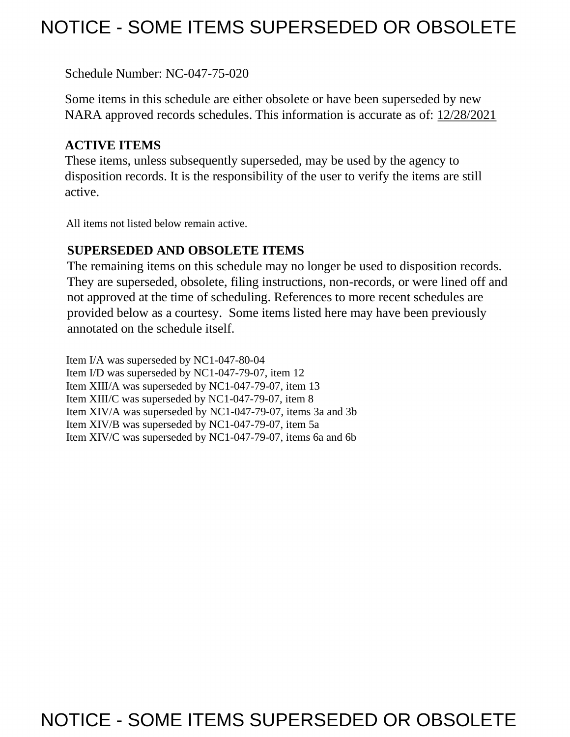# NOTICE - SOME ITEMS SUPERSEDED OR OBSOLETE

Schedule Number: NC-047-75-020

 Some items in this schedule are either obsolete or have been superseded by new NARA approved records schedules. This information is accurate as of: 12/28/2021

## **ACTIVE ITEMS**

 These items, unless subsequently superseded, may be used by the agency to disposition records. It is the responsibility of the user to verify the items are still active.

All items not listed below remain active.

## **SUPERSEDED AND OBSOLETE ITEMS**

 The remaining items on this schedule may no longer be used to disposition records. not approved at the time of scheduling. References to more recent schedules are provided below as a courtesy. Some items listed here may have been previously They are superseded, obsolete, filing instructions, non-records, or were lined off and annotated on the schedule itself.

Item I/A was superseded by NC1-047-80-04 Item I/D was superseded by NC1-047-79-07, item 12 Item XIII/A was superseded by NC1-047-79-07, item 13 Item XIII/C was superseded by NC1-047-79-07, item 8 Item XIV/A was superseded by NC1-047-79-07, items 3a and 3b Item XIV/B was superseded by NC1-047-79-07, item 5a Item XIV/C was superseded by NC1-047-79-07, items 6a and 6b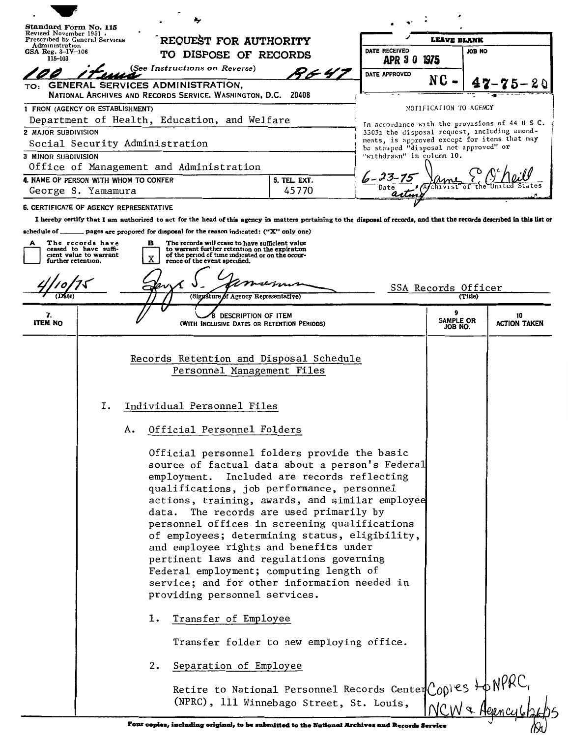| Standard Form No. 115<br>Revised November 1951.<br><b>Prescribed by General Services</b> |                                                                                                                                                                                                                                                                                                                                                                                                                                                                                                                                                                                                                                               |    | REQUEST FOR AUTHORITY                                                                                                                                                                                                                                                                  |               |                                                                                              | LEAVE BLANK                 |         |                           |  |
|------------------------------------------------------------------------------------------|-----------------------------------------------------------------------------------------------------------------------------------------------------------------------------------------------------------------------------------------------------------------------------------------------------------------------------------------------------------------------------------------------------------------------------------------------------------------------------------------------------------------------------------------------------------------------------------------------------------------------------------------------|----|----------------------------------------------------------------------------------------------------------------------------------------------------------------------------------------------------------------------------------------------------------------------------------------|---------------|----------------------------------------------------------------------------------------------|-----------------------------|---------|---------------------------|--|
| Administration<br>GSA Reg. $3-\text{IV}-106$                                             |                                                                                                                                                                                                                                                                                                                                                                                                                                                                                                                                                                                                                                               |    | TO DISPOSE OF RECORDS                                                                                                                                                                                                                                                                  |               | DATE RECEIVED                                                                                |                             | ON GOL  |                           |  |
| 115-103                                                                                  |                                                                                                                                                                                                                                                                                                                                                                                                                                                                                                                                                                                                                                               |    | (See Instructions on Reverse)                                                                                                                                                                                                                                                          |               | <b>APR 30</b>                                                                                | 1975                        |         |                           |  |
|                                                                                          |                                                                                                                                                                                                                                                                                                                                                                                                                                                                                                                                                                                                                                               |    | TO: GENERAL SERVICES ADMINISTRATION,<br>NATIONAL ARCHIVES AND RECORDS SERVICE, WASHINGTON, D.C. 20408                                                                                                                                                                                  | 7 <i>6-47</i> | DATE APPROVED                                                                                | NC                          |         |                           |  |
| 1 FROM (AGENCY OR ESTABLISHMENT)                                                         |                                                                                                                                                                                                                                                                                                                                                                                                                                                                                                                                                                                                                                               |    |                                                                                                                                                                                                                                                                                        |               |                                                                                              | NOTIFICATION TO AGENCY      |         |                           |  |
|                                                                                          |                                                                                                                                                                                                                                                                                                                                                                                                                                                                                                                                                                                                                                               |    | Department of Health, Education, and Welfare                                                                                                                                                                                                                                           |               | In accordance with the provisions of 44 U S C.                                               |                             |         |                           |  |
| 2 MAJOR SUBDIVISION                                                                      |                                                                                                                                                                                                                                                                                                                                                                                                                                                                                                                                                                                                                                               |    |                                                                                                                                                                                                                                                                                        |               | 3303a the disposal request, including amend-<br>ments, is approved except for items that may |                             |         |                           |  |
| 3 MINOR SUBDIVISION                                                                      | Social Security Administration                                                                                                                                                                                                                                                                                                                                                                                                                                                                                                                                                                                                                |    |                                                                                                                                                                                                                                                                                        |               | be stamped "disposal not approved" or<br>"withdrawn" in column 10.                           |                             |         |                           |  |
|                                                                                          |                                                                                                                                                                                                                                                                                                                                                                                                                                                                                                                                                                                                                                               |    | Office of Management and Administration                                                                                                                                                                                                                                                |               |                                                                                              |                             |         |                           |  |
|                                                                                          | 4. NAME OF PERSON WITH WHOM TO CONFER                                                                                                                                                                                                                                                                                                                                                                                                                                                                                                                                                                                                         |    |                                                                                                                                                                                                                                                                                        | 5. TEL. EXT.  |                                                                                              |                             |         |                           |  |
|                                                                                          | George S. Yamamura                                                                                                                                                                                                                                                                                                                                                                                                                                                                                                                                                                                                                            |    |                                                                                                                                                                                                                                                                                        | 45770         |                                                                                              |                             |         |                           |  |
|                                                                                          | 6. CERTIFICATE OF AGENCY REPRESENTATIVE                                                                                                                                                                                                                                                                                                                                                                                                                                                                                                                                                                                                       |    |                                                                                                                                                                                                                                                                                        |               |                                                                                              |                             |         |                           |  |
|                                                                                          |                                                                                                                                                                                                                                                                                                                                                                                                                                                                                                                                                                                                                                               |    | I hereby certify that I am authorized to act for the head of this agency in matters pertaining to the disposal of records, and that the records described in this list or                                                                                                              |               |                                                                                              |                             |         |                           |  |
| further retention.                                                                       | The records have<br>ceased to have suffi-<br>cient value to warrant                                                                                                                                                                                                                                                                                                                                                                                                                                                                                                                                                                           | в  | schedule of _______ pages are proposed for disposal for the reason indicated: ("X" only one)<br>The records will cease to have sufficient value<br>to warrant further retention on the expiration<br>of the period of time indicated or on the occur-<br>rence of the event specified. |               |                                                                                              | SSA Records Officer         |         |                           |  |
|                                                                                          |                                                                                                                                                                                                                                                                                                                                                                                                                                                                                                                                                                                                                                               |    | (Signature of Agency Representative)                                                                                                                                                                                                                                                   |               |                                                                                              |                             | (Title) |                           |  |
| 7.<br><b>ITEM NO</b>                                                                     |                                                                                                                                                                                                                                                                                                                                                                                                                                                                                                                                                                                                                                               |    | <b>DESCRIPTION OF ITEM</b><br>(WITH INCLUSIVE DATES OR RETENTION PERIODS)                                                                                                                                                                                                              |               |                                                                                              | <b>SAMPLE OR</b><br>JOB NO. |         | 10<br><b>ACTION TAKEN</b> |  |
|                                                                                          | Ι.                                                                                                                                                                                                                                                                                                                                                                                                                                                                                                                                                                                                                                            |    | Records Retention and Disposal Schedule<br>Personnel Management Files<br>Individual Personnel Files                                                                                                                                                                                    |               |                                                                                              |                             |         |                           |  |
|                                                                                          | А.                                                                                                                                                                                                                                                                                                                                                                                                                                                                                                                                                                                                                                            |    | Official Personnel Folders                                                                                                                                                                                                                                                             |               |                                                                                              |                             |         |                           |  |
|                                                                                          | Official personnel folders provide the basic<br>source of factual data about a person's Federal<br>employment. Included are records reflecting<br>qualifications, job performance, personnel<br>actions, training, awards, and similar employee<br>data. The records are used primarily by<br>personnel offices in screening qualifications<br>of employees; determining status, eligibility,<br>and employee rights and benefits under<br>pertinent laws and regulations governing<br>Federal employment; computing length of<br>service; and for other information needed in<br>providing personnel services.<br>1.<br>Transfer of Employee |    |                                                                                                                                                                                                                                                                                        |               |                                                                                              |                             |         |                           |  |
|                                                                                          |                                                                                                                                                                                                                                                                                                                                                                                                                                                                                                                                                                                                                                               |    | Transfer folder to new employing office.                                                                                                                                                                                                                                               |               |                                                                                              |                             |         |                           |  |
|                                                                                          |                                                                                                                                                                                                                                                                                                                                                                                                                                                                                                                                                                                                                                               | 2. | Separation of Employee                                                                                                                                                                                                                                                                 |               |                                                                                              |                             |         |                           |  |
|                                                                                          |                                                                                                                                                                                                                                                                                                                                                                                                                                                                                                                                                                                                                                               |    | Retire to National Personnel Records Center Copies HoNPRC,<br>(NPRC), 111 Winnebago Street, St. Louis, NCW & Aerocuth                                                                                                                                                                  |               |                                                                                              |                             |         |                           |  |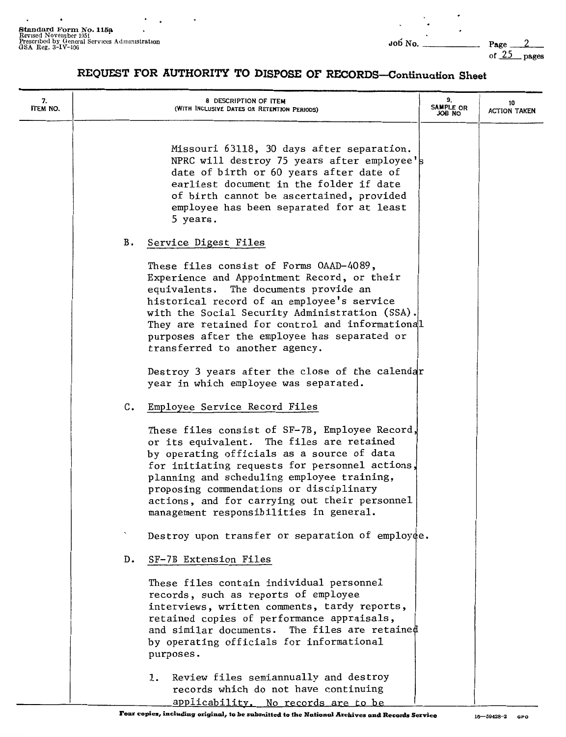$\overline{\phantom{a}}$ 

 $\overline{a}$ 

of  $25$  pages

| 7.<br>ITEM NO. | 9.<br>8 DESCRIPTION OF ITEM<br>10<br>SAMPLE OR<br>(WITH INCLUSIVE DATES OR RETENTION PERIODS)<br><b>ACTION TAKEN</b><br>ON BOL                                                                                                                                                                                                                                                   |  |
|----------------|----------------------------------------------------------------------------------------------------------------------------------------------------------------------------------------------------------------------------------------------------------------------------------------------------------------------------------------------------------------------------------|--|
|                | Missouri 63118, 30 days after separation.<br>NPRC will destroy 75 years after employee's<br>date of birth or 60 years after date of<br>earliest document in the folder if date<br>of birth cannot be ascertained, provided<br>employee has been separated for at least<br>5 years.                                                                                               |  |
|                | B.<br>Service Digest Files                                                                                                                                                                                                                                                                                                                                                       |  |
|                | These files consist of Forms OAAD-4089,<br>Experience and Appointment Record, or their<br>equivalents. The documents provide an<br>historical record of an employee's service<br>with the Social Security Administration (SSA).<br>They are retained for control and informational<br>purposes after the employee has separated or<br>transferred to another agency.             |  |
|                | Destroy 3 years after the close of the calendar<br>year in which employee was separated.                                                                                                                                                                                                                                                                                         |  |
|                | $c_{\bullet}$<br>Employee Service Record Files                                                                                                                                                                                                                                                                                                                                   |  |
|                | These files consist of SF-7B, Employee Record,<br>or its equivalent. The files are retained<br>by operating officials as a source of data<br>for initiating requests for personnel actions,<br>planning and scheduling employee training,<br>proposing commendations or disciplinary<br>actions, and for carrying out their personnel<br>management responsibilities in general. |  |
|                | Destroy upon transfer or separation of employee.                                                                                                                                                                                                                                                                                                                                 |  |
|                | SF-7B Extension Files<br>D.                                                                                                                                                                                                                                                                                                                                                      |  |
|                | These files contain individual personnel<br>records, such as reports of employee<br>interviews, written comments, tardy reports,<br>retained copies of performance appraisals,<br>and similar documents. The files are retained<br>by operating officials for informational<br>purposes.                                                                                         |  |
|                | 1. Review files semiannually and destroy<br>records which do not have continuing<br>applicability. No records are to be                                                                                                                                                                                                                                                          |  |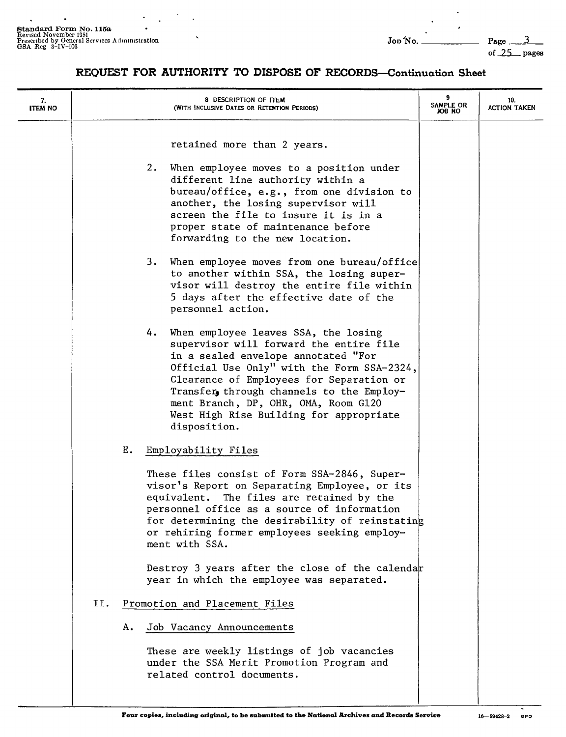$\overline{\phantom{a}}$ 

 $\ddot{\phantom{0}}$ 

#### **REQUEST FOR AUTHORITY TO DISPOSE OF RECORDS-Continuation Sheet**

| 7.<br><b>ITEM NO</b> |     |    | 8 DESCRIPTION OF ITEM<br>(WITH INCLUSIVE DATES OR RETENTION PERIODS)                                                                                                                                                                                                                                                                                                   | 9<br>SAMPLE OR<br>JOB NO | 10.<br><b>ACTION TAKEN</b> |
|----------------------|-----|----|------------------------------------------------------------------------------------------------------------------------------------------------------------------------------------------------------------------------------------------------------------------------------------------------------------------------------------------------------------------------|--------------------------|----------------------------|
|                      |     |    | retained more than 2 years.<br>2.<br>When employee moves to a position under<br>different line authority within a<br>bureau/office, e.g., from one division to<br>another, the losing supervisor will<br>screen the file to insure it is in a<br>proper state of maintenance before<br>forwarding to the new location.                                                 |                          |                            |
|                      |     |    | When employee moves from one bureau/office<br>3.<br>to another within SSA, the losing super-<br>visor will destroy the entire file within<br>5 days after the effective date of the<br>personnel action.                                                                                                                                                               |                          |                            |
|                      |     |    | 4.<br>When employee leaves SSA, the losing<br>supervisor will forward the entire file<br>in a sealed envelope annotated "For<br>Official Use Only" with the Form SSA-2324,<br>Clearance of Employees for Separation or<br>Transfer, through channels to the Employ-<br>ment Branch, DP, OHR, OMA, Room G120<br>West High Rise Building for appropriate<br>disposition. |                          |                            |
|                      |     | Ε. | Employability Files                                                                                                                                                                                                                                                                                                                                                    |                          |                            |
|                      |     |    | These files consist of Form SSA-2846, Super-<br>visor's Report on Separating Employee, or its<br>equivalent. The files are retained by the<br>personnel office as a source of information<br>for determining the desirability of reinstating<br>or rehiring former employees seeking employ-<br>ment with SSA.                                                         |                          |                            |
|                      |     |    | Destroy 3 years after the close of the calendar<br>year in which the employee was separated.                                                                                                                                                                                                                                                                           |                          |                            |
|                      | II. |    | Promotion and Placement Files                                                                                                                                                                                                                                                                                                                                          |                          |                            |
|                      |     | Α. | Job Vacancy Announcements                                                                                                                                                                                                                                                                                                                                              |                          |                            |
|                      |     |    | These are weekly listings of job vacancies<br>under the SSA Merit Promotion Program and<br>related control documents.                                                                                                                                                                                                                                                  |                          |                            |
|                      |     |    |                                                                                                                                                                                                                                                                                                                                                                        |                          |                            |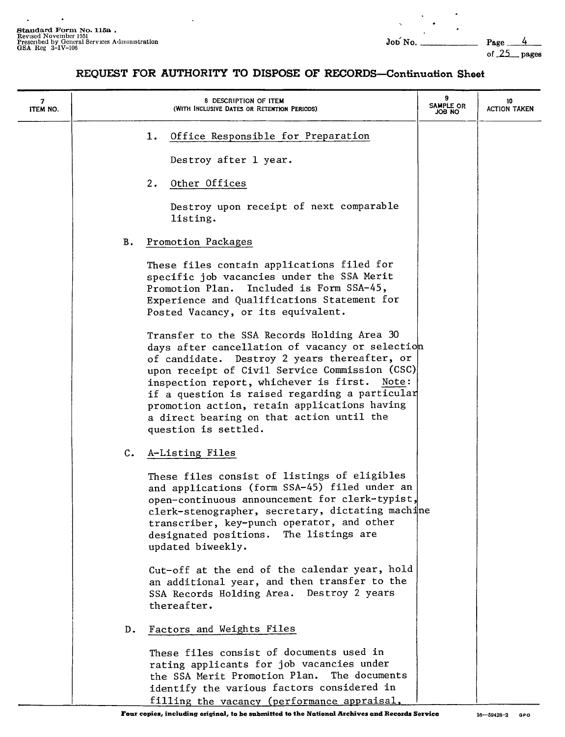÷.

of \_\_2\_5\_ **pages** 

| 7<br>ITEM NO. |                | 8 DESCRIPTION OF ITEM<br>(WITH INCLUSIVE DATES OR RETENTION PERIODS)                                                                                                                                                                                                                                                                                                                                                    | SAMPLE OR<br>ON BOL | 10<br><b>ACTION TAKEN</b> |
|---------------|----------------|-------------------------------------------------------------------------------------------------------------------------------------------------------------------------------------------------------------------------------------------------------------------------------------------------------------------------------------------------------------------------------------------------------------------------|---------------------|---------------------------|
|               |                | Office Responsible for Preparation<br>ı.                                                                                                                                                                                                                                                                                                                                                                                |                     |                           |
|               |                | Destroy after 1 year.                                                                                                                                                                                                                                                                                                                                                                                                   |                     |                           |
|               |                | Other Offices<br>2.                                                                                                                                                                                                                                                                                                                                                                                                     |                     |                           |
|               |                | Destroy upon receipt of next comparable<br>listing.                                                                                                                                                                                                                                                                                                                                                                     |                     |                           |
|               | В.             | Promotion Packages                                                                                                                                                                                                                                                                                                                                                                                                      |                     |                           |
|               |                | These files contain applications filed for<br>specific job vacancies under the SSA Merit<br>Promotion Plan. Included is Form SSA-45,<br>Experience and Qualifications Statement for<br>Posted Vacancy, or its equivalent.                                                                                                                                                                                               |                     |                           |
|               |                | Transfer to the SSA Records Holding Area 30<br>days after cancellation of vacancy or selection<br>of candidate. Destroy 2 years thereafter, or<br>upon receipt of Civil Service Commission (CSC)<br>inspection report, whichever is first. Note:<br>if a question is raised regarding a particular<br>promotion action, retain applications having<br>a direct bearing on that action until the<br>question is settled. |                     |                           |
|               | $\mathsf{C}$ . | A-Listing Files                                                                                                                                                                                                                                                                                                                                                                                                         |                     |                           |
|               |                | These files consist of listings of eligibles<br>and applications (form SSA-45) filed under an<br>open-continuous announcement for clerk-typist,<br>clerk-stenographer, secretary, dictating machine<br>transcriber, key-punch operator, and other<br>designated positions. The listings are<br>updated biweekly.                                                                                                        |                     |                           |
|               |                | Cut-off at the end of the calendar year, hold<br>an additional year, and then transfer to the<br>SSA Records Holding Area. Destroy 2 years<br>thereafter.                                                                                                                                                                                                                                                               |                     |                           |
|               | D.             | Factors and Weights Files                                                                                                                                                                                                                                                                                                                                                                                               |                     |                           |
|               |                | These files consist of documents used in<br>rating applicants for job vacancies under<br>the SSA Merit Promotion Plan.<br>The documents<br>identify the various factors considered in<br>filling the vacancy (performance appraisal,                                                                                                                                                                                    |                     |                           |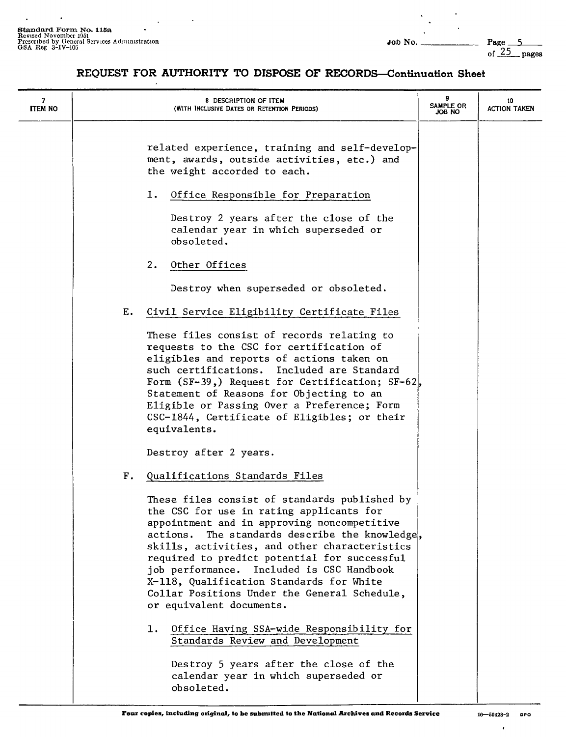J.

 $\overline{a}$ 

.

of  $25$  pages

| 7<br><b>ITEM NO</b> | 8 DESCRIPTION OF ITEM<br>(WITH INCLUSIVE DATES OR RETENTION PERIODS)                                                                                                                                                                                                                                                                                                                                                                                                                                                                                                                                                                         | SAMPLE OR<br>OA 8OL | 10<br><b>ACTION TAKEN</b> |
|---------------------|----------------------------------------------------------------------------------------------------------------------------------------------------------------------------------------------------------------------------------------------------------------------------------------------------------------------------------------------------------------------------------------------------------------------------------------------------------------------------------------------------------------------------------------------------------------------------------------------------------------------------------------------|---------------------|---------------------------|
|                     | related experience, training and self-develop-<br>ment, awards, outside activities, etc.) and<br>the weight accorded to each.                                                                                                                                                                                                                                                                                                                                                                                                                                                                                                                |                     |                           |
|                     | 1.<br>Office Responsible for Preparation                                                                                                                                                                                                                                                                                                                                                                                                                                                                                                                                                                                                     |                     |                           |
|                     | Destroy 2 years after the close of the<br>calendar year in which superseded or<br>obsoleted.                                                                                                                                                                                                                                                                                                                                                                                                                                                                                                                                                 |                     |                           |
|                     | 2.<br>Other Offices                                                                                                                                                                                                                                                                                                                                                                                                                                                                                                                                                                                                                          |                     |                           |
|                     | Destroy when superseded or obsoleted.                                                                                                                                                                                                                                                                                                                                                                                                                                                                                                                                                                                                        |                     |                           |
|                     | Ε.<br>Civil Service Eligibility Certificate Files                                                                                                                                                                                                                                                                                                                                                                                                                                                                                                                                                                                            |                     |                           |
|                     | These files consist of records relating to<br>requests to the CSC for certification of<br>eligibles and reports of actions taken on<br>such certifications. Included are Standard<br>Form (SF-39,) Request for Certification; SF-62,<br>Statement of Reasons for Objecting to an<br>Eligible or Passing Over a Preference; Form<br>CSC-1844, Certificate of Eligibles; or their<br>equivalents.                                                                                                                                                                                                                                              |                     |                           |
|                     | Destroy after 2 years.                                                                                                                                                                                                                                                                                                                                                                                                                                                                                                                                                                                                                       |                     |                           |
|                     | F.<br>Qualifications Standards Files<br>These files consist of standards published by<br>the CSC for use in rating applicants for<br>appointment and in approving noncompetitive<br>The standards describe the knowledge,<br>actions.<br>skills, activities, and other characteristics<br>required to predict potential for successful<br>job performance. Included is CSC Handbook<br>X-118, Qualification Standards for White<br>Collar Positions Under the General Schedule,<br>or equivalent documents.<br>Office Having SSA-wide Responsibility for<br>ı.<br>Standards Review and Development<br>Destroy 5 years after the close of the |                     |                           |
|                     | calendar year in which superseded or<br>obsoleted.                                                                                                                                                                                                                                                                                                                                                                                                                                                                                                                                                                                           |                     |                           |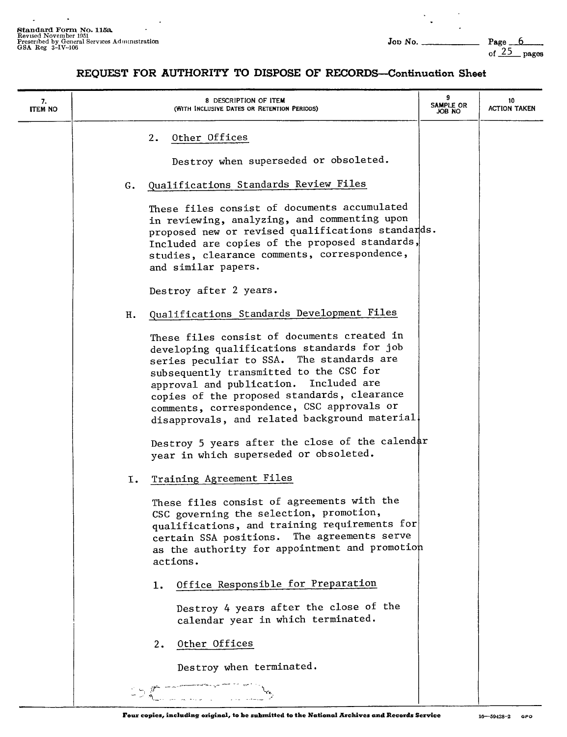$\overline{a}$ 

 $\ddot{\phantom{a}}$ 

÷.

of  $\frac{25}{25}$  pages

| 7.<br><b>ITEM NO</b> |    | 8 DESCRIPTION OF ITEM<br>(WITH INCLUSIVE DATES OR RETENTION PERIODS)                                                                                                                                                                                                                                                                                                       | SAMPLE OR<br>OA 8OL | 10<br><b>ACTION TAKEN</b> |
|----------------------|----|----------------------------------------------------------------------------------------------------------------------------------------------------------------------------------------------------------------------------------------------------------------------------------------------------------------------------------------------------------------------------|---------------------|---------------------------|
|                      |    | Other Offices<br>2.                                                                                                                                                                                                                                                                                                                                                        |                     |                           |
|                      |    | Destroy when superseded or obsoleted.                                                                                                                                                                                                                                                                                                                                      |                     |                           |
|                      | G. | Qualifications Standards Review Files                                                                                                                                                                                                                                                                                                                                      |                     |                           |
|                      |    | These files consist of documents accumulated<br>in reviewing, analyzing, and commenting upon<br>proposed new or revised qualifications standards.<br>Included are copies of the proposed standards,<br>studies, clearance comments, correspondence,<br>and similar papers.                                                                                                 |                     |                           |
|                      |    | Destroy after 2 years.                                                                                                                                                                                                                                                                                                                                                     |                     |                           |
|                      | н. | Qualifications Standards Development Files                                                                                                                                                                                                                                                                                                                                 |                     |                           |
|                      |    | These files consist of documents created in<br>developing qualifications standards for job<br>series peculiar to SSA. The standards are<br>subsequently transmitted to the CSC for<br>approval and publication. Included are<br>copies of the proposed standards, clearance<br>comments, correspondence, CSC approvals or<br>disapprovals, and related background material |                     |                           |
|                      |    | Destroy 5 years after the close of the calendar<br>year in which superseded or obsoleted.                                                                                                                                                                                                                                                                                  |                     |                           |
|                      | Ι. | Training Agreement Files                                                                                                                                                                                                                                                                                                                                                   |                     |                           |
|                      |    | These files consist of agreements with the<br>CSC governing the selection, promotion,<br>qualifications, and training requirements for<br>certain SSA positions. The agreements serve<br>as the authority for appointment and promotion<br>actions.                                                                                                                        |                     |                           |
|                      |    | Office Responsible for Preparation<br>ı.                                                                                                                                                                                                                                                                                                                                   |                     |                           |
|                      |    | Destroy 4 years after the close of the<br>calendar year in which terminated.                                                                                                                                                                                                                                                                                               |                     |                           |
|                      |    | Other Offices<br>2.                                                                                                                                                                                                                                                                                                                                                        |                     |                           |
|                      |    | Destroy when terminated.                                                                                                                                                                                                                                                                                                                                                   |                     |                           |
|                      |    |                                                                                                                                                                                                                                                                                                                                                                            |                     |                           |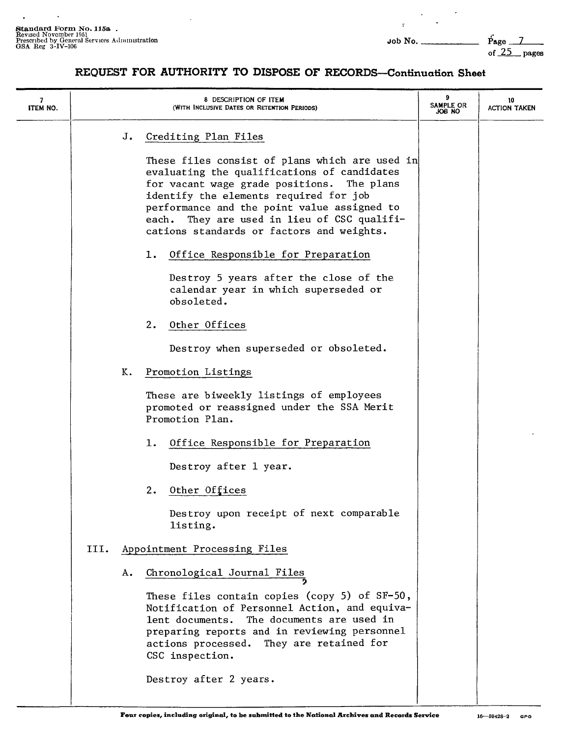J.

J.

ç.

 $\ddot{\phantom{a}}$ 

 $\ddot{\phantom{a}}$ 

 $\ddot{\phantom{0}}$ 

of  $25$  pages

#### **REQUEST FOR AUTHORITY TO DISPOSE OF RECORDS-Continuation Sheet**

| 7.<br>ITEM NO. |      |    | 8 DESCRIPTION OF ITEM<br>(WITH INCLUSIVE DATES OR RETENTION PERIODS)                                                                                                                                                                                                                                                             | SAMPLE OR<br>OH 8OL | 10<br><b>ACTION TAKEN</b> |
|----------------|------|----|----------------------------------------------------------------------------------------------------------------------------------------------------------------------------------------------------------------------------------------------------------------------------------------------------------------------------------|---------------------|---------------------------|
|                |      | J. | Crediting Plan Files                                                                                                                                                                                                                                                                                                             |                     |                           |
|                |      |    | These files consist of plans which are used in<br>evaluating the qualifications of candidates<br>for vacant wage grade positions. The plans<br>identify the elements required for job<br>performance and the point value assigned to<br>each. They are used in lieu of CSC qualifi-<br>cations standards or factors and weights. |                     |                           |
|                |      |    | Office Responsible for Preparation<br>ı.                                                                                                                                                                                                                                                                                         |                     |                           |
|                |      |    | Destroy 5 years after the close of the<br>calendar year in which superseded or<br>obsoleted.                                                                                                                                                                                                                                     |                     |                           |
|                |      |    | 2.<br>Other Offices                                                                                                                                                                                                                                                                                                              |                     |                           |
|                |      |    | Destroy when superseded or obsoleted.                                                                                                                                                                                                                                                                                            |                     |                           |
|                |      | к. | Promotion Listings                                                                                                                                                                                                                                                                                                               |                     |                           |
|                |      |    | These are biweekly listings of employees<br>promoted or reassigned under the SSA Merit<br>Promotion Plan.                                                                                                                                                                                                                        |                     |                           |
|                |      |    | Office Responsible for Preparation<br>1.                                                                                                                                                                                                                                                                                         |                     |                           |
|                |      |    | Destroy after 1 year.                                                                                                                                                                                                                                                                                                            |                     |                           |
|                |      |    | 2.<br>Other Offices                                                                                                                                                                                                                                                                                                              |                     |                           |
|                |      |    | Destroy upon receipt of next comparable<br>listing.                                                                                                                                                                                                                                                                              |                     |                           |
|                | III. |    | Appointment Processing Files                                                                                                                                                                                                                                                                                                     |                     |                           |
|                |      | Α. | Chronological Journal Files                                                                                                                                                                                                                                                                                                      |                     |                           |
|                |      |    | These files contain copies (copy 5) of $SF-50$ ,<br>Notification of Personnel Action, and equiva-<br>The documents are used in<br>lent documents.<br>preparing reports and in reviewing personnel<br>actions processed. They are retained for<br>CSC inspection.                                                                 |                     |                           |
|                |      |    | Destroy after 2 years.                                                                                                                                                                                                                                                                                                           |                     |                           |

ł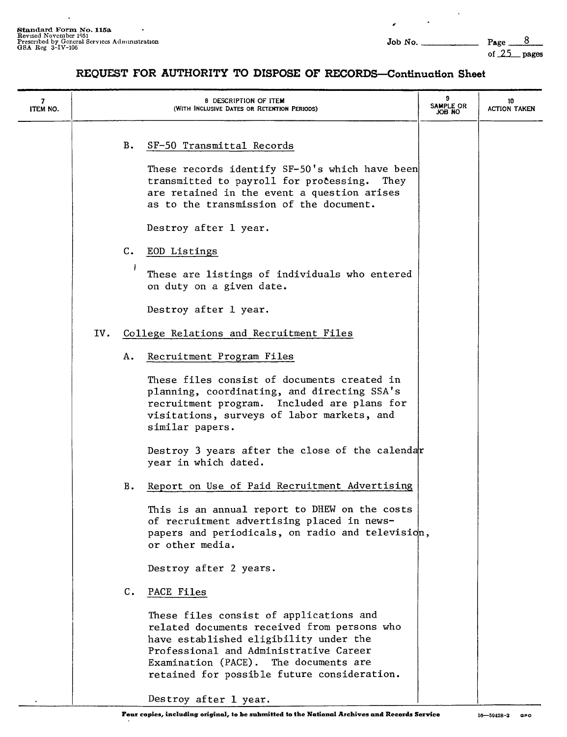$\blacksquare$ 

 $\ddot{\phantom{a}}$ 

 $\epsilon$ 

| 7<br>ITEM NO. |     |               | 8 DESCRIPTION OF ITEM<br>(WITH INCLUSIVE DATES OR RETENTION PERIODS)                                                                                                                                                                                               | 9<br>SAMPLE OR<br>JOB NO | 10<br><b>ACTION TAKEN</b> |
|---------------|-----|---------------|--------------------------------------------------------------------------------------------------------------------------------------------------------------------------------------------------------------------------------------------------------------------|--------------------------|---------------------------|
|               |     | в.            | SF-50 Transmittal Records                                                                                                                                                                                                                                          |                          |                           |
|               |     |               | These records identify SF-50's which have been<br>transmitted to payroll for processing.<br>They<br>are retained in the event a question arises<br>as to the transmission of the document.                                                                         |                          |                           |
|               |     |               | Destroy after 1 year.                                                                                                                                                                                                                                              |                          |                           |
|               |     | C.            | EOD Listings                                                                                                                                                                                                                                                       |                          |                           |
|               |     |               | These are listings of individuals who entered<br>on duty on a given date.                                                                                                                                                                                          |                          |                           |
|               |     |               | Destroy after 1 year.                                                                                                                                                                                                                                              |                          |                           |
|               | IV. |               | College Relations and Recruitment Files                                                                                                                                                                                                                            |                          |                           |
|               |     | А.            | Recruitment Program Files                                                                                                                                                                                                                                          |                          |                           |
|               |     |               | These files consist of documents created in<br>planning, coordinating, and directing SSA's<br>recruitment program. Included are plans for<br>visitations, surveys of labor markets, and<br>similar papers.                                                         |                          |                           |
|               |     |               | Destroy 3 years after the close of the calendar<br>year in which dated.                                                                                                                                                                                            |                          |                           |
|               |     | В.            | Report on Use of Paid Recruitment Advertising                                                                                                                                                                                                                      |                          |                           |
|               |     |               | This is an annual report to DHEW on the costs<br>of recruitment advertising placed in news-<br>papers and periodicals, on radio and television,<br>or other media.                                                                                                 |                          |                           |
|               |     |               | Destroy after 2 years.                                                                                                                                                                                                                                             |                          |                           |
|               |     | $c_{\bullet}$ | PACE Files                                                                                                                                                                                                                                                         |                          |                           |
|               |     |               | These files consist of applications and<br>related documents received from persons who<br>have established eligibility under the<br>Professional and Administrative Career<br>Examination (PACE). The documents are<br>retained for possible future consideration. |                          |                           |
|               |     |               | Destroy after 1 year.                                                                                                                                                                                                                                              |                          |                           |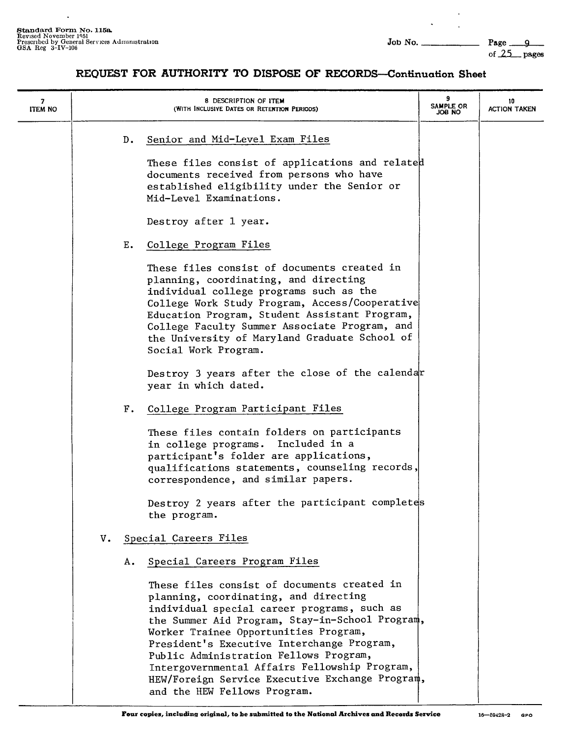$\ddot{\phantom{a}}$ 

 $\ddot{\phantom{a}}$ 

 $\bar{z}$ 

 $\omega$ 

| 7<br><b>ITEM NO</b> |    |       | 8 DESCRIPTION OF ITEM<br>(WITH INCLUSIVE DATES OR RETENTION PERIODS)                                                                                                                                                                                                                                                                                                                                                                                        | 9<br>SAMPLE OR<br>OH BOL | 10<br><b>ACTION TAKEN</b> |
|---------------------|----|-------|-------------------------------------------------------------------------------------------------------------------------------------------------------------------------------------------------------------------------------------------------------------------------------------------------------------------------------------------------------------------------------------------------------------------------------------------------------------|--------------------------|---------------------------|
|                     |    | $D$ . | Senior and Mid-Level Exam Files                                                                                                                                                                                                                                                                                                                                                                                                                             |                          |                           |
|                     |    |       | These files consist of applications and related<br>documents received from persons who have<br>established eligibility under the Senior or<br>Mid-Level Examinations.                                                                                                                                                                                                                                                                                       |                          |                           |
|                     |    |       | Destroy after 1 year.                                                                                                                                                                                                                                                                                                                                                                                                                                       |                          |                           |
|                     |    | Ε.    | College Program Files                                                                                                                                                                                                                                                                                                                                                                                                                                       |                          |                           |
|                     |    |       | These files consist of documents created in<br>planning, coordinating, and directing<br>individual college programs such as the<br>College Work Study Program, Access/Cooperative<br>Education Program, Student Assistant Program,<br>College Faculty Summer Associate Program, and<br>the University of Maryland Graduate School of<br>Social Work Program.                                                                                                |                          |                           |
|                     |    |       | Destroy 3 years after the close of the calendar<br>year in which dated.                                                                                                                                                                                                                                                                                                                                                                                     |                          |                           |
|                     |    | F.    | College Program Participant Files                                                                                                                                                                                                                                                                                                                                                                                                                           |                          |                           |
|                     |    |       | These files contain folders on participants<br>in college programs. Included in a<br>participant's folder are applications,<br>qualifications statements, counseling records,<br>correspondence, and similar papers.                                                                                                                                                                                                                                        |                          |                           |
|                     |    |       | Destroy 2 years after the participant completes<br>the program.                                                                                                                                                                                                                                                                                                                                                                                             |                          |                           |
|                     | v. |       | Special Careers Files                                                                                                                                                                                                                                                                                                                                                                                                                                       |                          |                           |
|                     |    | Α.    | Special Careers Program Files                                                                                                                                                                                                                                                                                                                                                                                                                               |                          |                           |
|                     |    |       | These files consist of documents created in<br>planning, coordinating, and directing<br>individual special career programs, such as<br>the Summer Aid Program, Stay-in-School Program,<br>Worker Trainee Opportunities Program,<br>President's Executive Interchange Program,<br>Public Administration Fellows Program,<br>Intergovernmental Affairs Fellowship Program,<br>HEW/Foreign Service Executive Exchange Program,<br>and the HEW Fellows Program. |                          |                           |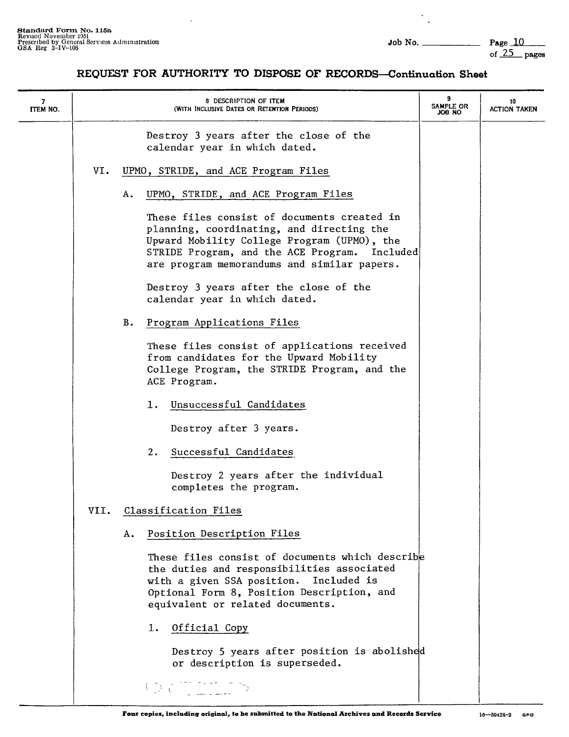$\ddot{\phantom{1}}$ J.

| 7<br><b>ITEM NO.</b> |      |    | 8 DESCRIPTION OF ITEM<br>(WITH INCLUSIVE DATES OR RETENTION PERIODS)                                                                                                                                                                                                                                                                                                                                                                                                      | 9<br>SAMPLE OR<br>ON 80L | 10<br><b>ACTION TAKEN</b> |
|----------------------|------|----|---------------------------------------------------------------------------------------------------------------------------------------------------------------------------------------------------------------------------------------------------------------------------------------------------------------------------------------------------------------------------------------------------------------------------------------------------------------------------|--------------------------|---------------------------|
|                      |      |    | Destroy 3 years after the close of the<br>calendar year in which dated.                                                                                                                                                                                                                                                                                                                                                                                                   |                          |                           |
|                      | VI.  |    | UPMO, STRIDE, and ACE Program Files                                                                                                                                                                                                                                                                                                                                                                                                                                       |                          |                           |
|                      |      | Α. | UPMO, STRIDE, and ACE Program Files                                                                                                                                                                                                                                                                                                                                                                                                                                       |                          |                           |
|                      |      |    | These files consist of documents created in<br>planning, coordinating, and directing the<br>Upward Mobility College Program (UPMO), the<br>STRIDE Program, and the ACE Program. Included<br>are program memorandums and similar papers.                                                                                                                                                                                                                                   |                          |                           |
|                      |      |    | Destroy 3 years after the close of the<br>calendar year in which dated.                                                                                                                                                                                                                                                                                                                                                                                                   |                          |                           |
|                      |      | В. | Program Applications Files                                                                                                                                                                                                                                                                                                                                                                                                                                                |                          |                           |
|                      |      |    | These files consist of applications received<br>from candidates for the Upward Mobility<br>College Program, the STRIDE Program, and the<br>ACE Program.                                                                                                                                                                                                                                                                                                                   |                          |                           |
|                      |      |    | Unsuccessful Candidates<br>1.                                                                                                                                                                                                                                                                                                                                                                                                                                             |                          |                           |
|                      |      |    | Destroy after 3 years.                                                                                                                                                                                                                                                                                                                                                                                                                                                    |                          |                           |
|                      |      |    | Successful Candidates<br>2.                                                                                                                                                                                                                                                                                                                                                                                                                                               |                          |                           |
|                      |      |    | Destroy 2 years after the individual<br>completes the program.                                                                                                                                                                                                                                                                                                                                                                                                            |                          |                           |
|                      | VII. |    | Classification Files                                                                                                                                                                                                                                                                                                                                                                                                                                                      |                          |                           |
|                      |      | Α. | Position Description Files                                                                                                                                                                                                                                                                                                                                                                                                                                                |                          |                           |
|                      |      |    | These files consist of documents which describle<br>the duties and responsibilities associated<br>with a given SSA position.<br>Included is<br>Optional Form 8, Position Description, and<br>equivalent or related documents.                                                                                                                                                                                                                                             |                          |                           |
|                      |      |    | Official Copy<br>1.                                                                                                                                                                                                                                                                                                                                                                                                                                                       |                          |                           |
|                      |      |    | Destroy 5 years after position is abolished<br>or description is superseded.                                                                                                                                                                                                                                                                                                                                                                                              |                          |                           |
|                      |      |    | $\bigoplus_{\alpha\in\mathbb{Z}}\bigoplus_{\alpha\in\mathbb{Z}}\bigoplus_{\alpha\in\mathbb{Z}}\bigoplus_{\alpha\in\mathbb{Z}}\bigoplus_{\alpha\in\mathbb{Z}}\bigoplus_{\alpha\in\mathbb{Z}}\bigoplus_{\alpha\in\mathbb{Z}}\bigoplus_{\alpha\in\mathbb{Z}}\bigoplus_{\alpha\in\mathbb{Z}}\bigoplus_{\alpha\in\mathbb{Z}}\bigoplus_{\alpha\in\mathbb{Z}}\bigoplus_{\alpha\in\mathbb{Z}}\bigoplus_{\alpha\in\mathbb{Z}}\bigoplus_{\alpha\in\mathbb{Z}}\bigoplus_{\alpha\in\$ |                          |                           |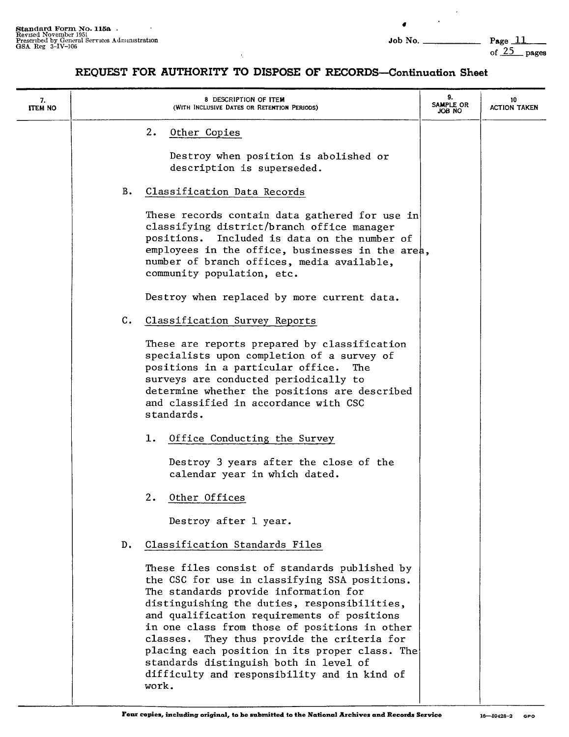$\overline{a}$ 

 $\ddot{\phantom{a}}$ 

of  $\frac{25}{25}$  pages

| 7.<br><b>ITEM NO</b> |                | 8 DESCRIPTION OF ITEM<br>(WITH INCLUSIVE DATES OR RETENTION PERIODS)                                                                                                                                                                                                                                                                                                                                                                                                                           | 9.<br>SAMPLE OR<br>ON 8OL | 10<br><b>ACTION TAKEN</b> |
|----------------------|----------------|------------------------------------------------------------------------------------------------------------------------------------------------------------------------------------------------------------------------------------------------------------------------------------------------------------------------------------------------------------------------------------------------------------------------------------------------------------------------------------------------|---------------------------|---------------------------|
|                      |                | 2.<br>Other Copies                                                                                                                                                                                                                                                                                                                                                                                                                                                                             |                           |                           |
|                      |                | Destroy when position is abolished or<br>description is superseded.                                                                                                                                                                                                                                                                                                                                                                                                                            |                           |                           |
|                      | в.             | Classification Data Records                                                                                                                                                                                                                                                                                                                                                                                                                                                                    |                           |                           |
|                      |                | These records contain data gathered for use in<br>classifying district/branch office manager<br>positions.<br>Included is data on the number of<br>employees in the office, businesses in the area,<br>number of branch offices, media available,<br>community population, etc.                                                                                                                                                                                                                |                           |                           |
|                      |                | Destroy when replaced by more current data.                                                                                                                                                                                                                                                                                                                                                                                                                                                    |                           |                           |
|                      | $\mathbf{C}$ . | Classification Survey Reports                                                                                                                                                                                                                                                                                                                                                                                                                                                                  |                           |                           |
|                      |                | These are reports prepared by classification<br>specialists upon completion of a survey of<br>positions in a particular office.<br>The<br>surveys are conducted periodically to<br>determine whether the positions are described<br>and classified in accordance with CSC<br>standards.                                                                                                                                                                                                        |                           |                           |
|                      |                | Office Conducting the Survey<br>1.                                                                                                                                                                                                                                                                                                                                                                                                                                                             |                           |                           |
|                      |                | Destroy 3 years after the close of the<br>calendar year in which dated.                                                                                                                                                                                                                                                                                                                                                                                                                        |                           |                           |
|                      |                | 2.<br>Other Offices                                                                                                                                                                                                                                                                                                                                                                                                                                                                            |                           |                           |
|                      |                | Destroy after 1 year.                                                                                                                                                                                                                                                                                                                                                                                                                                                                          |                           |                           |
|                      | D.             | Classification Standards Files                                                                                                                                                                                                                                                                                                                                                                                                                                                                 |                           |                           |
|                      |                | These files consist of standards published by<br>the CSC for use in classifying SSA positions.<br>The standards provide information for<br>distinguishing the duties, responsibilities,<br>and qualification requirements of positions<br>in one class from those of positions in other<br>They thus provide the criteria for<br>classes.<br>placing each position in its proper class. The<br>standards distinguish both in level of<br>difficulty and responsibility and in kind of<br>work. |                           |                           |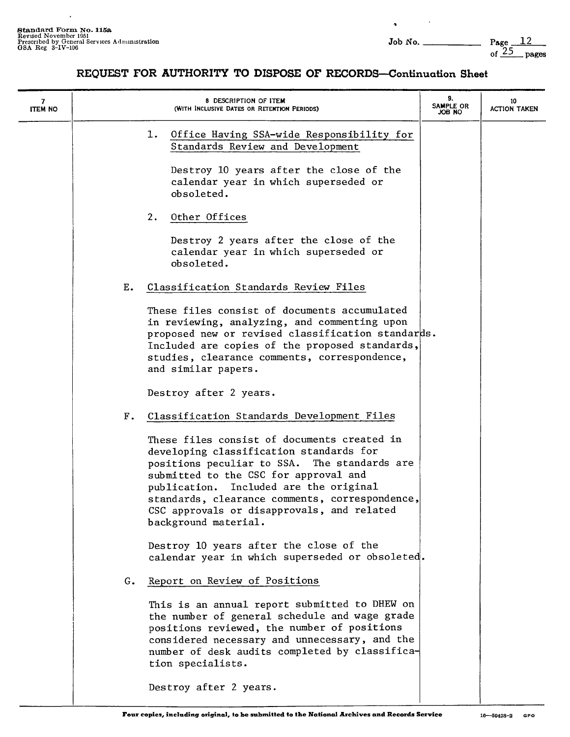$\ddot{\phantom{a}}$ 

 $\ddot{\phantom{a}}$ 

| 7<br>ITEM NO |                | 8 DESCRIPTION OF ITEM<br>(WITH INCLUSIVE DATES OR RETENTION PERIODS)                                                                                                                                                                                                                                                                                 | 9.<br>SAMPLE OR<br>OH HOL | 10<br><b>ACTION TAKEN</b> |
|--------------|----------------|------------------------------------------------------------------------------------------------------------------------------------------------------------------------------------------------------------------------------------------------------------------------------------------------------------------------------------------------------|---------------------------|---------------------------|
|              |                | Office Having SSA-wide Responsibility for<br>1.<br>Standards Review and Development<br>Destroy 10 years after the close of the<br>calendar year in which superseded or                                                                                                                                                                               |                           |                           |
|              |                | obsoleted.<br>2.<br>Other Offices<br>Destroy 2 years after the close of the                                                                                                                                                                                                                                                                          |                           |                           |
|              |                | calendar year in which superseded or<br>obsoleted.                                                                                                                                                                                                                                                                                                   |                           |                           |
|              | Ε.             | Classification Standards Review Files                                                                                                                                                                                                                                                                                                                |                           |                           |
|              |                | These files consist of documents accumulated<br>in reviewing, analyzing, and commenting upon<br>proposed new or revised classification standards.<br>Included are copies of the proposed standards,<br>studies, clearance comments, correspondence,<br>and similar papers.                                                                           |                           |                           |
|              |                | Destroy after 2 years.                                                                                                                                                                                                                                                                                                                               |                           |                           |
|              | F <sub>1</sub> | Classification Standards Development Files                                                                                                                                                                                                                                                                                                           |                           |                           |
|              |                | These files consist of documents created in<br>developing classification standards for<br>positions peculiar to SSA.<br>The standards are<br>submitted to the CSC for approval and<br>publication. Included are the original<br>standards, clearance comments, correspondence,<br>CSC approvals or disapprovals, and related<br>background material. |                           |                           |
|              |                | Destroy 10 years after the close of the<br>calendar year in which superseded or obsoleted.                                                                                                                                                                                                                                                           |                           |                           |
|              | G.             | Report on Review of Positions                                                                                                                                                                                                                                                                                                                        |                           |                           |
|              |                | This is an annual report submitted to DHEW on<br>the number of general schedule and wage grade<br>positions reviewed, the number of positions<br>considered necessary and unnecessary, and the<br>number of desk audits completed by classifica-<br>tion specialists.                                                                                |                           |                           |
|              |                | Destroy after 2 years.                                                                                                                                                                                                                                                                                                                               |                           |                           |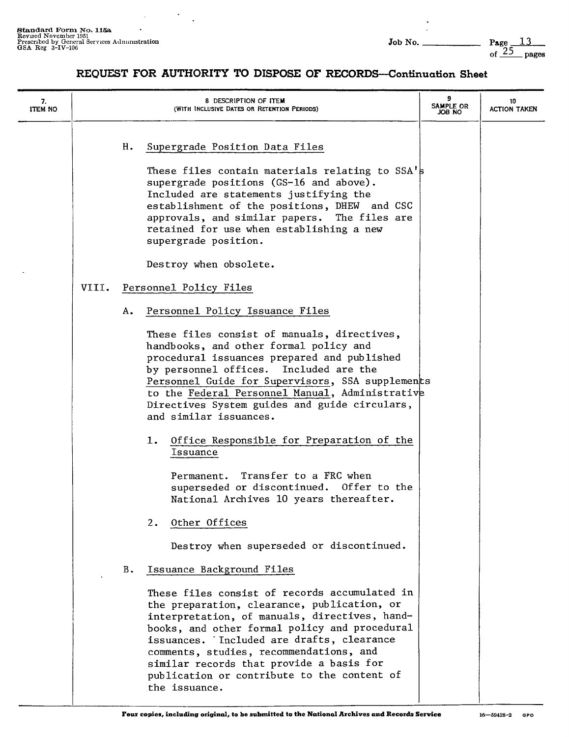$\ddot{\phantom{a}}$ l,

| 7.<br><b>ITEM NO</b> |       | 8 DESCRIPTION OF ITEM<br>(WITH INCLUSIVE DATES OR RETENTION PERIODS)                                                                                                                                                                                                                                                                                                                                                                                                                                                                                                                                                                                                      | 9<br>SAMPLE OR<br>ON 8OL | 10<br><b>ACTION TAKEN</b> |
|----------------------|-------|---------------------------------------------------------------------------------------------------------------------------------------------------------------------------------------------------------------------------------------------------------------------------------------------------------------------------------------------------------------------------------------------------------------------------------------------------------------------------------------------------------------------------------------------------------------------------------------------------------------------------------------------------------------------------|--------------------------|---------------------------|
|                      |       | Н.<br>Supergrade Position Data Files<br>These files contain materials relating to SSA's<br>supergrade positions (GS-16 and above).<br>Included are statements justifying the<br>establishment of the positions, DHEW and CSC<br>approvals, and similar papers. The files are<br>retained for use when establishing a new<br>supergrade position.                                                                                                                                                                                                                                                                                                                          |                          |                           |
|                      |       | Destroy when obsolete.                                                                                                                                                                                                                                                                                                                                                                                                                                                                                                                                                                                                                                                    |                          |                           |
|                      | VIII. | Personnel Policy Files                                                                                                                                                                                                                                                                                                                                                                                                                                                                                                                                                                                                                                                    |                          |                           |
|                      |       | Personnel Policy Issuance Files<br>Α.<br>These files consist of manuals, directives,<br>handbooks, and other formal policy and<br>procedural issuances prepared and published<br>by personnel offices.<br>Included are the<br>Personnel Guide for Supervisors, SSA supplements<br>to the Federal Personnel Manual, Administrative<br>Directives System guides and guide circulars,<br>and similar issuances.<br>Office Responsible for Preparation of the<br>1.<br>Issuance<br>Permanent. Transfer to a FRC when<br>superseded or discontinued. Offer to the<br>National Archives 10 years thereafter.<br>Other Offices<br>2.<br>Destroy when superseded or discontinued. |                          |                           |
|                      |       | Issuance Background Files<br>В.<br>These files consist of records accumulated in<br>the preparation, clearance, publication, or<br>interpretation, of manuals, directives, hand-<br>books, and other formal policy and procedural<br>issuances. Included are drafts, clearance<br>comments, studies, recommendations, and<br>similar records that provide a basis for<br>publication or contribute to the content of<br>the issuance.                                                                                                                                                                                                                                     |                          |                           |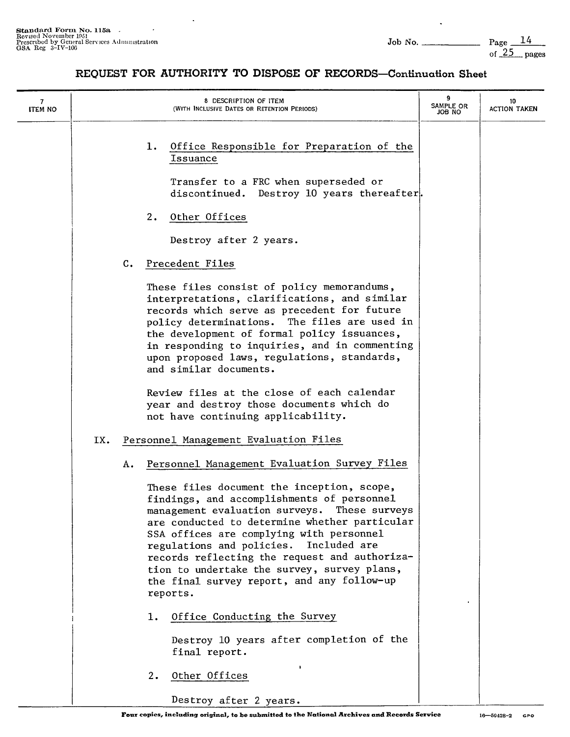| 7<br><b>ITEM NO</b> |     |               |          | 8 DESCRIPTION OF ITEM<br>(WITH INCLUSIVE DATES OR RETENTION PERIODS)                                                                                                                                                                                                                                                                                                                                                          | 9<br>SAMPLE OR<br>ON 8OL | 10<br><b>ACTION TAKEN</b> |
|---------------------|-----|---------------|----------|-------------------------------------------------------------------------------------------------------------------------------------------------------------------------------------------------------------------------------------------------------------------------------------------------------------------------------------------------------------------------------------------------------------------------------|--------------------------|---------------------------|
|                     |     |               | 1.       | Office Responsible for Preparation of the<br>Issuance<br>Transfer to a FRC when superseded or<br>discontinued. Destroy 10 years thereafter.                                                                                                                                                                                                                                                                                   |                          |                           |
|                     |     |               | 2.       | Other Offices                                                                                                                                                                                                                                                                                                                                                                                                                 |                          |                           |
|                     |     |               |          | Destroy after 2 years.                                                                                                                                                                                                                                                                                                                                                                                                        |                          |                           |
|                     |     | $C_{\bullet}$ |          | Precedent Files                                                                                                                                                                                                                                                                                                                                                                                                               |                          |                           |
|                     |     |               |          | These files consist of policy memorandums,<br>interpretations, clarifications, and similar<br>records which serve as precedent for future<br>policy determinations. The files are used in<br>the development of formal policy issuances,<br>in responding to inquiries, and in commenting<br>upon proposed laws, regulations, standards,<br>and similar documents.                                                            |                          |                           |
|                     |     |               |          | Review files at the close of each calendar<br>year and destroy those documents which do<br>not have continuing applicability.                                                                                                                                                                                                                                                                                                 |                          |                           |
|                     | IX. |               |          | Personnel Management Evaluation Files                                                                                                                                                                                                                                                                                                                                                                                         |                          |                           |
|                     |     | Α.            |          | Personnel Management Evaluation Survey Files                                                                                                                                                                                                                                                                                                                                                                                  |                          |                           |
|                     |     |               | reports. | These files document the inception, scope,<br>findings, and accomplishments of personnel<br>management evaluation surveys. These surveys<br>are conducted to determine whether particular<br>SSA offices are complying with personnel<br>regulations and policies. Included are<br>records reflecting the request and authoriza-<br>tion to undertake the survey, survey plans,<br>the final survey report, and any follow-up |                          |                           |
|                     |     |               | ı.       | Office Conducting the Survey                                                                                                                                                                                                                                                                                                                                                                                                  |                          |                           |
|                     |     |               |          | Destroy 10 years after completion of the<br>final report.                                                                                                                                                                                                                                                                                                                                                                     |                          |                           |
|                     |     |               | 2.       | Other Offices                                                                                                                                                                                                                                                                                                                                                                                                                 |                          |                           |
|                     |     |               |          | Destroy after 2 years.                                                                                                                                                                                                                                                                                                                                                                                                        |                          |                           |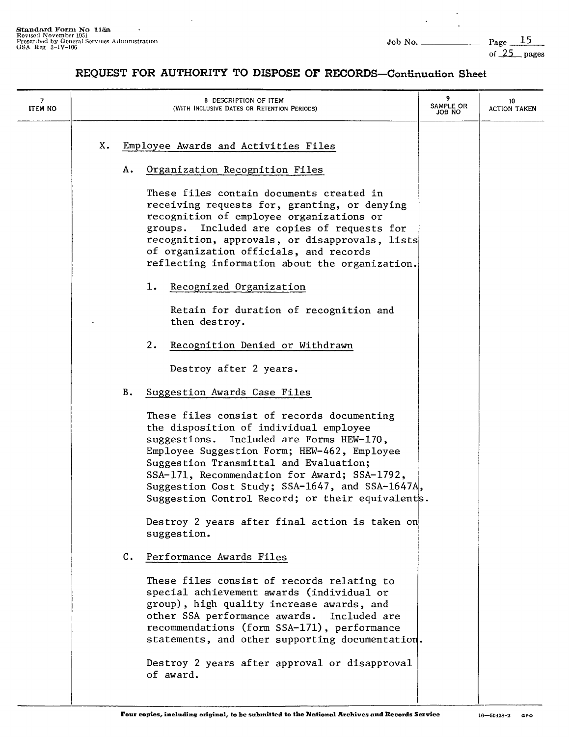| 7<br><b>ITEM NO</b> |    | 8 DESCRIPTION OF ITEM<br>(WITH INCLUSIVE DATES OR RETENTION PERIODS)                                                                                                                                                                                                                                                                                                             | 9<br><b>SAMPLE OR</b><br>ON 8OL | 10<br><b>ACTION TAKEN</b> |
|---------------------|----|----------------------------------------------------------------------------------------------------------------------------------------------------------------------------------------------------------------------------------------------------------------------------------------------------------------------------------------------------------------------------------|---------------------------------|---------------------------|
|                     | X. | Employee Awards and Activities Files                                                                                                                                                                                                                                                                                                                                             |                                 |                           |
|                     |    | Organization Recognition Files<br>Α.                                                                                                                                                                                                                                                                                                                                             |                                 |                           |
|                     |    | These files contain documents created in<br>receiving requests for, granting, or denying<br>recognition of employee organizations or<br>Included are copies of requests for<br>groups.<br>recognition, approvals, or disapprovals, lists<br>of organization officials, and records<br>reflecting information about the organization.                                             |                                 |                           |
|                     |    | Recognized Organization<br>ı.                                                                                                                                                                                                                                                                                                                                                    |                                 |                           |
|                     |    | Retain for duration of recognition and<br>then destroy.                                                                                                                                                                                                                                                                                                                          |                                 |                           |
|                     |    | 2.<br>Recognition Denied or Withdrawn                                                                                                                                                                                                                                                                                                                                            |                                 |                           |
|                     |    | Destroy after 2 years.                                                                                                                                                                                                                                                                                                                                                           |                                 |                           |
|                     |    | В.<br>Suggestion Awards Case Files                                                                                                                                                                                                                                                                                                                                               |                                 |                           |
|                     |    | These files consist of records documenting<br>the disposition of individual employee<br>suggestions. Included are Forms HEW-170,<br>Employee Suggestion Form; HEW-462, Employee<br>Suggestion Transmittal and Evaluation;<br>SSA-171, Recommendation for Award; SSA-1792,<br>Suggestion Cost Study; SSA-1647, and SSA-1647A,<br>Suggestion Control Record; or their equivalents. |                                 |                           |
|                     |    | Destroy 2 years after final action is taken on<br>suggestion.                                                                                                                                                                                                                                                                                                                    |                                 |                           |
|                     |    | $c_{\bullet}$<br>Performance Awards Files                                                                                                                                                                                                                                                                                                                                        |                                 |                           |
|                     |    | These files consist of records relating to<br>special achievement awards (individual or<br>group), high quality increase awards, and<br>other SSA performance awards. Included are<br>recommendations (form SSA-171), performance<br>statements, and other supporting documentation.                                                                                             |                                 |                           |
|                     |    | Destroy 2 years after approval or disapproval<br>of award.                                                                                                                                                                                                                                                                                                                       |                                 |                           |
|                     |    |                                                                                                                                                                                                                                                                                                                                                                                  |                                 |                           |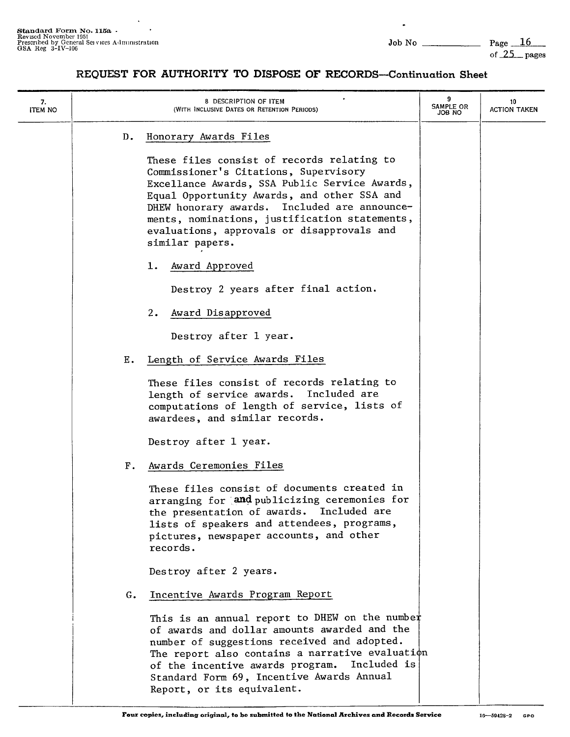| 7.<br>ITEM NO | 8 DESCRIPTION OF ITEM<br>(WITH INCLUSIVE DATES OR RETENTION PERIODS)                                                                                                                                                                                                                                                                                  | 9<br>SAMPLE OR<br>ON 8OL | 10<br><b>ACTION TAKEN</b> |
|---------------|-------------------------------------------------------------------------------------------------------------------------------------------------------------------------------------------------------------------------------------------------------------------------------------------------------------------------------------------------------|--------------------------|---------------------------|
|               | Honorary Awards Files<br>D.                                                                                                                                                                                                                                                                                                                           |                          |                           |
|               | These files consist of records relating to<br>Commissioner's Citations, Supervisory<br>Excellance Awards, SSA Public Service Awards,<br>Equal Opportunity Awards, and other SSA and<br>DHEW honorary awards. Included are announce-<br>ments, nominations, justification statements,<br>evaluations, approvals or disapprovals and<br>similar papers. |                          |                           |
|               | 1.<br>Award Approved                                                                                                                                                                                                                                                                                                                                  |                          |                           |
|               | Destroy 2 years after final action.                                                                                                                                                                                                                                                                                                                   |                          |                           |
|               | Award Disapproved<br>2.                                                                                                                                                                                                                                                                                                                               |                          |                           |
|               | Destroy after 1 year.                                                                                                                                                                                                                                                                                                                                 |                          |                           |
|               | Length of Service Awards Files<br>Ε.                                                                                                                                                                                                                                                                                                                  |                          |                           |
|               | These files consist of records relating to<br>length of service awards. Included are<br>computations of length of service, lists of<br>awardees, and similar records.                                                                                                                                                                                 |                          |                           |
|               | Destroy after 1 year.                                                                                                                                                                                                                                                                                                                                 |                          |                           |
|               | Awards Ceremonies Files<br>Г.                                                                                                                                                                                                                                                                                                                         |                          |                           |
|               | These files consist of documents created in<br>arranging for and publicizing ceremonies for<br>the presentation of awards. Included are<br>lists of speakers and attendees, programs,<br>pictures, newspaper accounts, and other<br>records.                                                                                                          |                          |                           |
|               | Destroy after 2 years.                                                                                                                                                                                                                                                                                                                                |                          |                           |
|               | Incentive Awards Program Report<br>G.                                                                                                                                                                                                                                                                                                                 |                          |                           |
|               | This is an annual report to DHEW on the number<br>of awards and dollar amounts awarded and the<br>number of suggestions received and adopted.<br>The report also contains a narrative evaluation<br>of the incentive awards program. Included is<br>Standard Form 69, Incentive Awards Annual<br>Report, or its equivalent.                           |                          |                           |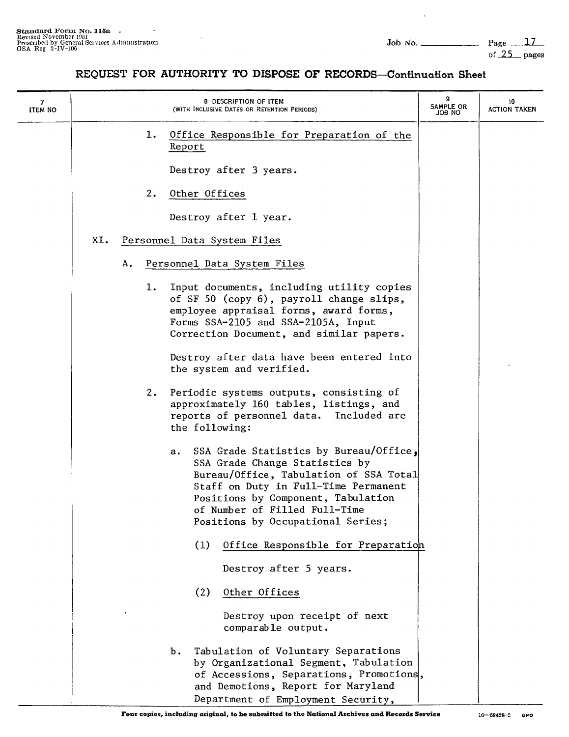$\ddot{\phantom{a}}$ 

| 7<br><b>ITEM NO</b> |     |    | 8 DESCRIPTION OF ITEM<br>(WITH INCLUSIVE DATES OR RETENTION PERIODS)                                                                                                                                                            | 9<br>SAMPLE OR<br>JOB NO                                                         | 10<br><b>ACTION TAKEN</b> |
|---------------------|-----|----|---------------------------------------------------------------------------------------------------------------------------------------------------------------------------------------------------------------------------------|----------------------------------------------------------------------------------|---------------------------|
|                     |     | ı. | Office Responsible for Preparation of the<br>Report                                                                                                                                                                             |                                                                                  |                           |
|                     |     |    | Destroy after 3 years.                                                                                                                                                                                                          |                                                                                  |                           |
|                     |     | 2. | Other Offices                                                                                                                                                                                                                   |                                                                                  |                           |
|                     |     |    | Destroy after 1 year.                                                                                                                                                                                                           |                                                                                  |                           |
|                     | XI. |    | Personnel Data System Files                                                                                                                                                                                                     |                                                                                  |                           |
|                     |     | А. | Personnel Data System Files                                                                                                                                                                                                     |                                                                                  |                           |
|                     |     | 1. | Input documents, including utility copies<br>of SF 50 (copy 6), payroll change slips,<br>employee appraisal forms, award forms,<br>Forms SSA-2105 and SSA-2105A, Input<br>Correction Document, and similar papers.              |                                                                                  |                           |
|                     |     |    | Destroy after data have been entered into<br>the system and verified.                                                                                                                                                           |                                                                                  |                           |
|                     |     |    | 2. Periodic systems outputs, consisting of<br>approximately 160 tables, listings, and<br>reports of personnel data. Included are<br>the following:                                                                              |                                                                                  |                           |
|                     |     |    | a. SSA Grade Statistics by Bureau/Office,<br>SSA Grade Change Statistics by<br>Staff on Duty in Full-Time Permanent<br>Positions by Component, Tabulation<br>of Number of Filled Full-Time<br>Positions by Occupational Series; | Bureau/Office, Tabulation of SSA Total                                           |                           |
|                     |     |    | (1)                                                                                                                                                                                                                             | Office Responsible for Preparation                                               |                           |
|                     |     |    | Destroy after 5 years.                                                                                                                                                                                                          |                                                                                  |                           |
|                     |     |    | (2)<br>Other Offices                                                                                                                                                                                                            |                                                                                  |                           |
|                     |     |    | comparable output.                                                                                                                                                                                                              | Destroy upon receipt of next                                                     |                           |
|                     |     |    | Tabulation of Voluntary Separations<br>b.<br>and Demotions, Report for Maryland<br>Department of Employment Security,                                                                                                           | by Organizational Segment, Tabulation<br>of Accessions, Separations, Promotions, |                           |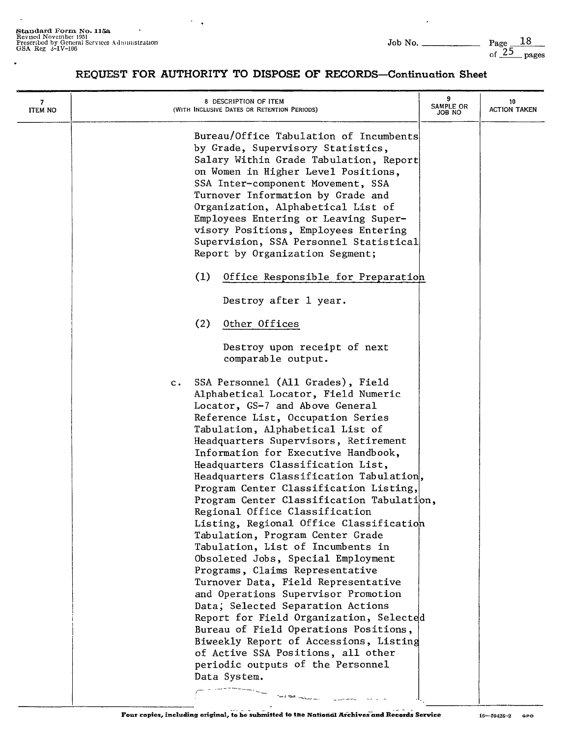| 7<br>ITEM NO | 8 DESCRIPTION OF ITEM<br>(WITH INCLUSIVE DATES OR RETENTION PERIODS)                                                                                                                                                                                                                                                                                                                                                                                                                                                                                                                                                                                                                                                                                                                                                                                                                                                                                                                                                           | 9<br><b>SAMPLE OR</b><br>JOB NO | 10<br>ACTION TAKEN |
|--------------|--------------------------------------------------------------------------------------------------------------------------------------------------------------------------------------------------------------------------------------------------------------------------------------------------------------------------------------------------------------------------------------------------------------------------------------------------------------------------------------------------------------------------------------------------------------------------------------------------------------------------------------------------------------------------------------------------------------------------------------------------------------------------------------------------------------------------------------------------------------------------------------------------------------------------------------------------------------------------------------------------------------------------------|---------------------------------|--------------------|
|              | Bureau/Office Tabulation of Incumbents<br>by Grade, Supervisory Statistics,<br>Salary Within Grade Tabulation, Report<br>on Women in Higher Level Positions,<br>SSA Inter-component Movement, SSA<br>Turnover Information by Grade and<br>Organization, Alphabetical List of<br>Employees Entering or Leaving Super-<br>visory Positions, Employees Entering<br>Supervision, SSA Personnel Statistical<br>Report by Organization Segment;                                                                                                                                                                                                                                                                                                                                                                                                                                                                                                                                                                                      |                                 |                    |
|              | (1)<br>Office Responsible for Preparation                                                                                                                                                                                                                                                                                                                                                                                                                                                                                                                                                                                                                                                                                                                                                                                                                                                                                                                                                                                      |                                 |                    |
|              | Destroy after 1 year.                                                                                                                                                                                                                                                                                                                                                                                                                                                                                                                                                                                                                                                                                                                                                                                                                                                                                                                                                                                                          |                                 |                    |
|              | (2)<br>Other Offices                                                                                                                                                                                                                                                                                                                                                                                                                                                                                                                                                                                                                                                                                                                                                                                                                                                                                                                                                                                                           |                                 |                    |
|              | Destroy upon receipt of next<br>comparable output.                                                                                                                                                                                                                                                                                                                                                                                                                                                                                                                                                                                                                                                                                                                                                                                                                                                                                                                                                                             |                                 |                    |
|              | SSA Personnel (All Grades), Field<br>$c$ .<br>Alphabetical Locator, Field Numeric<br>Locator, GS-7 and Above General<br>Reference List, Occupation Series<br>Tabulation, Alphabetical List of<br>Headquarters Supervisors, Retirement<br>Information for Executive Handbook,<br>Headquarters Classification List,<br>Headquarters Classification Tabulation,<br>Program Center Classification Listing,<br>Program Center Classification Tabulation,<br>Regional Office Classification<br>Listing, Regional Office Classification<br>Tabulation, Program Center Grade<br>Tabulation, List of Incumbents in<br>Obsoleted Jobs, Special Employment<br>Programs, Claims Representative<br>Turnover Data, Field Representative<br>and Operations Supervisor Promotion<br>Data; Selected Separation Actions<br>Report for Field Organization, Selected<br>Bureau of Field Operations Positions,<br>Biweekly Report of Accessions, Listing<br>of Active SSA Positions, all other<br>periodic outputs of the Personnel<br>Data System. |                                 |                    |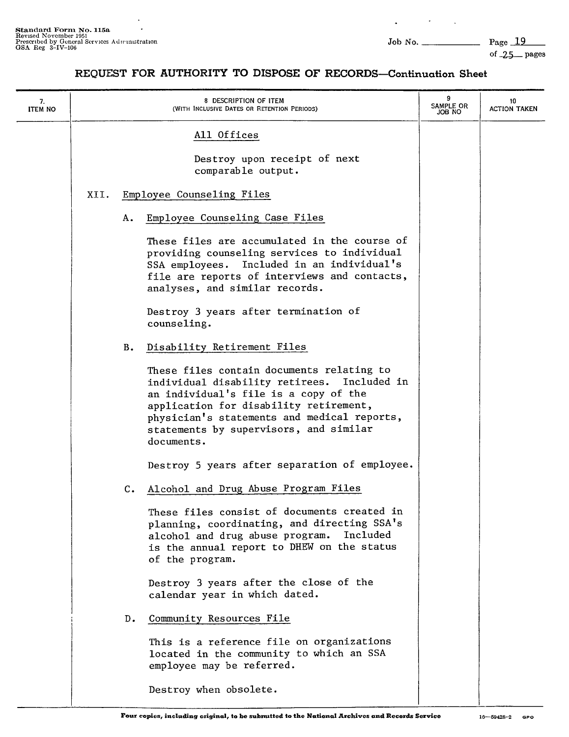of \_25\_pages

| 7.<br><b>ITEM NO</b> |      |                | 8 DESCRIPTION OF ITEM<br>(WITH INCLUSIVE DATES OR RETENTION PERIODS)                                                                                                                                                                                                               | 9<br><b>SAMPLE OR</b><br>JOB NO | 10<br>ACTION TAKEN |
|----------------------|------|----------------|------------------------------------------------------------------------------------------------------------------------------------------------------------------------------------------------------------------------------------------------------------------------------------|---------------------------------|--------------------|
|                      |      |                | All Offices                                                                                                                                                                                                                                                                        |                                 |                    |
|                      |      |                | Destroy upon receipt of next<br>comparable output.                                                                                                                                                                                                                                 |                                 |                    |
|                      | XII. |                | Employee Counseling Files                                                                                                                                                                                                                                                          |                                 |                    |
|                      |      | Α.             | Employee Counseling Case Files                                                                                                                                                                                                                                                     |                                 |                    |
|                      |      |                | These files are accumulated in the course of<br>providing counseling services to individual<br>SSA employees. Included in an individual's<br>file are reports of interviews and contacts,<br>analyses, and similar records.                                                        |                                 |                    |
|                      |      |                | Destroy 3 years after termination of<br>counseling.                                                                                                                                                                                                                                |                                 |                    |
|                      |      | <b>B.</b>      | Disability Retirement Files                                                                                                                                                                                                                                                        |                                 |                    |
|                      |      |                | These files contain documents relating to<br>individual disability retirees. Included in<br>an individual's file is a copy of the<br>application for disability retirement,<br>physician's statements and medical reports,<br>statements by supervisors, and similar<br>documents. |                                 |                    |
|                      |      |                | Destroy 5 years after separation of employee.                                                                                                                                                                                                                                      |                                 |                    |
|                      |      | $\mathsf{c}$ . | Alcohol and Drug Abuse Program Files                                                                                                                                                                                                                                               |                                 |                    |
|                      |      |                | These files consist of documents created in<br>planning, coordinating, and directing SSA's<br>alcohol and drug abuse program. Included<br>is the annual report to DHEW on the status<br>of the program.                                                                            |                                 |                    |
|                      |      |                | Destroy 3 years after the close of the<br>calendar year in which dated.                                                                                                                                                                                                            |                                 |                    |
|                      |      | D.             | Community Resources File                                                                                                                                                                                                                                                           |                                 |                    |
|                      |      |                | This is a reference file on organizations<br>located in the community to which an SSA<br>employee may be referred.                                                                                                                                                                 |                                 |                    |
|                      |      |                | Destroy when obsolete.                                                                                                                                                                                                                                                             |                                 |                    |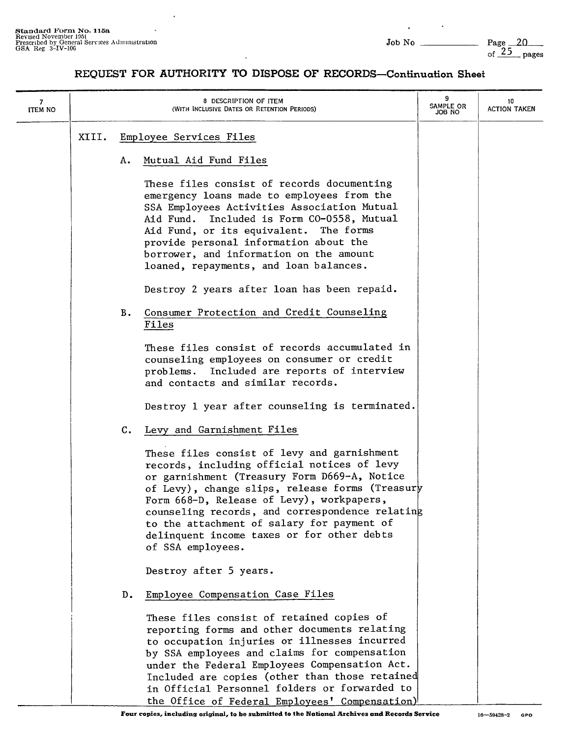$\ddot{\phantom{0}}$ 

J.

Page  $\frac{20}{\text{of } 25}$  pages

| $\overline{7}$<br><b>ITEM NO</b> |       |                  | 8 DESCRIPTION OF ITEM<br>(WITH INCLUSIVE DATES OR RETENTION PERIODS)                                                                                                                                                                                                                                                                                                                                           | SAMPLE OR<br>ON 8OL | 10<br><b>ACTION TAKEN</b> |
|----------------------------------|-------|------------------|----------------------------------------------------------------------------------------------------------------------------------------------------------------------------------------------------------------------------------------------------------------------------------------------------------------------------------------------------------------------------------------------------------------|---------------------|---------------------------|
|                                  | XIII. |                  | Employee Services Files                                                                                                                                                                                                                                                                                                                                                                                        |                     |                           |
|                                  |       | А.               | Mutual Aid Fund Files                                                                                                                                                                                                                                                                                                                                                                                          |                     |                           |
|                                  |       |                  | These files consist of records documenting<br>emergency loans made to employees from the<br>SSA Employees Activities Association Mutual<br>Aid Fund. Included is Form CO-0558, Mutual<br>Aid Fund, or its equivalent. The forms<br>provide personal information about the<br>borrower, and information on the amount<br>loaned, repayments, and loan balances.                                                 |                     |                           |
|                                  |       |                  | Destroy 2 years after loan has been repaid.                                                                                                                                                                                                                                                                                                                                                                    |                     |                           |
|                                  |       | В.               | Consumer Protection and Credit Counseling<br>Files                                                                                                                                                                                                                                                                                                                                                             |                     |                           |
|                                  |       |                  | These files consist of records accumulated in<br>counseling employees on consumer or credit<br>problems. Included are reports of interview<br>and contacts and similar records.                                                                                                                                                                                                                                |                     |                           |
|                                  |       |                  | Destroy 1 year after counseling is terminated.                                                                                                                                                                                                                                                                                                                                                                 |                     |                           |
|                                  |       | $\mathfrak{c}$ . | Levy and Garnishment Files                                                                                                                                                                                                                                                                                                                                                                                     |                     |                           |
|                                  |       |                  | These files consist of levy and garnishment<br>records, including official notices of levy<br>or garnishment (Treasury Form D669-A, Notice<br>of Levy), change slips, release forms (Treasury<br>Form 668-D, Release of Levy), workpapers,<br>counseling records, and correspondence relating<br>to the attachment of salary for payment of<br>delinquent income taxes or for other debts<br>of SSA employees. |                     |                           |
|                                  |       |                  | Destroy after 5 years.                                                                                                                                                                                                                                                                                                                                                                                         |                     |                           |
|                                  |       | D.               | Employee Compensation Case Files                                                                                                                                                                                                                                                                                                                                                                               |                     |                           |
|                                  |       |                  | These files consist of retained copies of<br>reporting forms and other documents relating<br>to occupation injuries or illnesses incurred<br>by SSA employees and claims for compensation<br>under the Federal Employees Compensation Act.<br>Included are copies (other than those retained<br>in Official Personnel folders or forwarded to<br>the Office of Federal Employees' Compensation)                |                     |                           |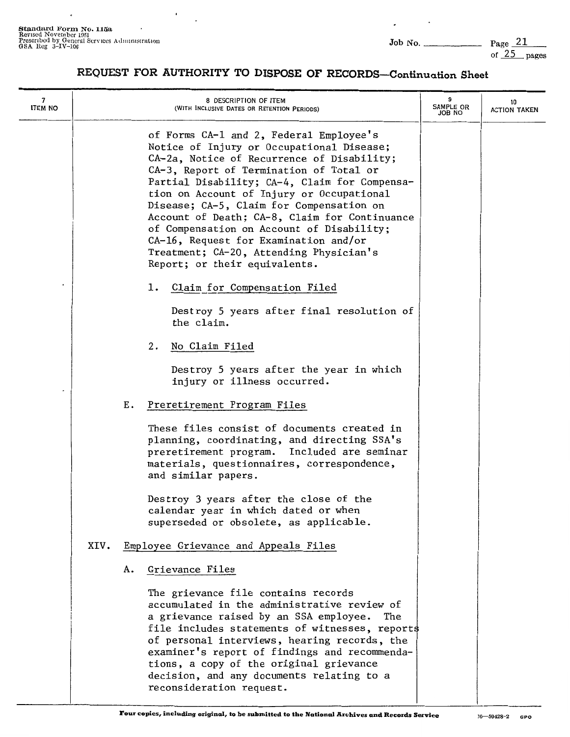L.

 $\overline{\phantom{a}}$ 

 $\overline{a}$ 

| 7<br><b>ITEM NO</b> |      | 8 DESCRIPTION OF ITEM<br>(WITH INCLUSIVE DATES OR RETENTION PERIODS)                                                                                                                                                                                                                                                                                                                                                                                                                                                                       | <b>SAMPLE OR</b><br>ON GOL | 10<br><b>ACTION TAKEN</b> |
|---------------------|------|--------------------------------------------------------------------------------------------------------------------------------------------------------------------------------------------------------------------------------------------------------------------------------------------------------------------------------------------------------------------------------------------------------------------------------------------------------------------------------------------------------------------------------------------|----------------------------|---------------------------|
|                     |      | of Forms CA-1 and 2, Federal Employee's<br>Notice of Injury or Occupational Disease;<br>CA-2a, Notice of Recurrence of Disability;<br>CA-3, Report of Termination of Total or<br>Partial Disability; CA-4, Claim for Compensa-<br>tion on Account of Injury or Occupational<br>Disease; CA-5, Claim for Compensation on<br>Account of Death; CA-8, Claim for Continuance<br>of Compensation on Account of Disability;<br>CA-16, Request for Examination and/or<br>Treatment; CA-20, Attending Physician's<br>Report; or their equivalents. |                            |                           |
|                     |      | 1. Claim for Compensation Filed                                                                                                                                                                                                                                                                                                                                                                                                                                                                                                            |                            |                           |
|                     |      | Destroy 5 years after final resolution of<br>the claim.                                                                                                                                                                                                                                                                                                                                                                                                                                                                                    |                            |                           |
|                     |      | No Claim Filed<br>2.                                                                                                                                                                                                                                                                                                                                                                                                                                                                                                                       |                            |                           |
|                     |      | Destroy 5 years after the year in which<br>injury or illness occurred.                                                                                                                                                                                                                                                                                                                                                                                                                                                                     |                            |                           |
|                     |      | Preretirement Program Files<br>Ε.                                                                                                                                                                                                                                                                                                                                                                                                                                                                                                          |                            |                           |
|                     |      | These files consist of documents created in<br>planning, coordinating, and directing SSA's<br>preretirement program. Included are seminar<br>materials, questionnaires, correspondence,<br>and similar papers.                                                                                                                                                                                                                                                                                                                             |                            |                           |
|                     |      | Destroy 3 years after the close of the<br>calendar year in which dated or when<br>superseded or obsolete, as applicable.                                                                                                                                                                                                                                                                                                                                                                                                                   |                            |                           |
|                     | XIV. | Employee Grievance and Appeals Files                                                                                                                                                                                                                                                                                                                                                                                                                                                                                                       |                            |                           |
|                     |      | Grievance Files<br>А.                                                                                                                                                                                                                                                                                                                                                                                                                                                                                                                      |                            |                           |
|                     |      | The grievance file contains records<br>accumulated in the administrative review of<br>a grievance raised by an SSA employee.<br>The<br>file includes statements of witnesses, reports<br>of personal interviews, hearing records, the<br>examiner's report of findings and recommenda-<br>tions, a copy of the original grievance<br>decision, and any documents relating to a<br>reconsideration request.                                                                                                                                 |                            |                           |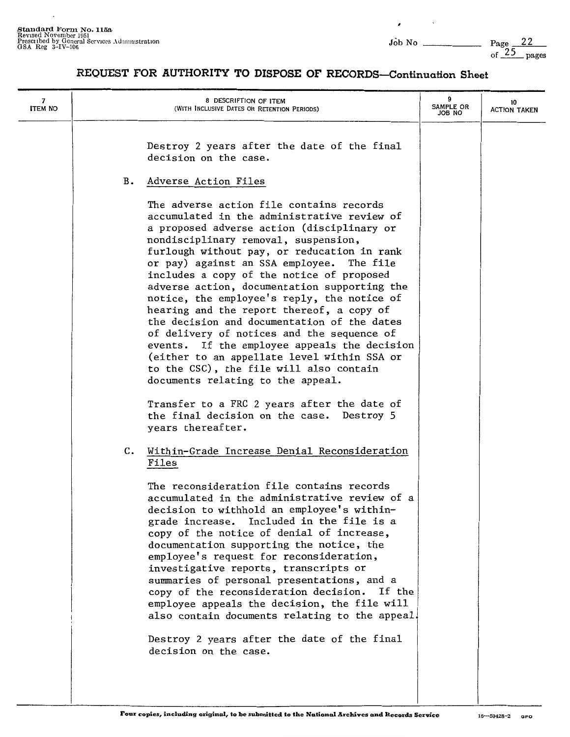| 7<br><b>ITEM NO</b> | 8 DESCRIPTION OF ITEM<br>(WITH INCLUSIVE DATES OR RETENTION PERIODS)                                                                                                                                                                                                                                                                                                                                                                                                                                                                                                                                                                                                                                                                                                                                                                                                                    | 9<br>SAMPLE OR<br>JOB NO | 10<br><b>ACTION TAKEN</b> |
|---------------------|-----------------------------------------------------------------------------------------------------------------------------------------------------------------------------------------------------------------------------------------------------------------------------------------------------------------------------------------------------------------------------------------------------------------------------------------------------------------------------------------------------------------------------------------------------------------------------------------------------------------------------------------------------------------------------------------------------------------------------------------------------------------------------------------------------------------------------------------------------------------------------------------|--------------------------|---------------------------|
|                     | Destroy 2 years after the date of the final<br>decision on the case.                                                                                                                                                                                                                                                                                                                                                                                                                                                                                                                                                                                                                                                                                                                                                                                                                    |                          |                           |
| в.                  | Adverse Action Files<br>The adverse action file contains records<br>accumulated in the administrative review of<br>a proposed adverse action (disciplinary or<br>nondisciplinary removal, suspension,<br>furlough without pay, or reducation in rank<br>or pay) against an SSA employee. The file<br>includes a copy of the notice of proposed<br>adverse action, documentation supporting the<br>notice, the employee's reply, the notice of<br>hearing and the report thereof, a copy of<br>the decision and documentation of the dates<br>of delivery of notices and the sequence of<br>events. If the employee appeals the decision<br>(either to an appellate level within SSA or<br>to the CSC), the file will also contain<br>documents relating to the appeal.<br>Transfer to a FRC 2 years after the date of<br>the final decision on the case. Destroy 5<br>years thereafter. |                          |                           |
| c.                  | Within-Grade Increase Denial Reconsideration<br>Files<br>The reconsideration file contains records<br>accumulated in the administrative review of a<br>decision to withhold an employee's within-<br>grade increase. Included in the file is a<br>copy of the notice of denial of increase,<br>documentation supporting the notice, the<br>employee's request for reconsideration,<br>investigative reports, transcripts or<br>summaries of personal presentations, and a<br>copy of the reconsideration decision. If the<br>employee appeals the decision, the file will<br>also contain documents relating to the appeal.<br>Destroy 2 years after the date of the final<br>decision on the case.                                                                                                                                                                                     |                          |                           |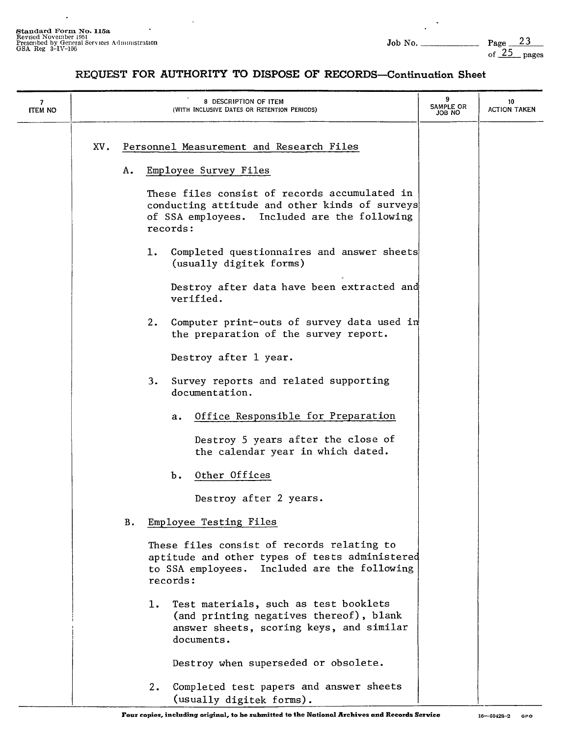$\cdot$ 

#### **REQUEST FOR AUTHORITY TO DISPOSE OF RECORDS-Continuation Sheet**

| $\overline{7}$<br><b>ITEM NO</b> |     |    | 8 DESCRIPTION OF ITEM<br>(WITH INCLUSIVE DATES OR RETENTION PERIODS)                                                                                        | 9<br>SAMPLE OR<br>JOB NO | 10<br><b>ACTION TAKEN</b> |
|----------------------------------|-----|----|-------------------------------------------------------------------------------------------------------------------------------------------------------------|--------------------------|---------------------------|
|                                  | XV. |    | Personnel Measurement and Research Files                                                                                                                    |                          |                           |
|                                  |     | Α. | Employee Survey Files                                                                                                                                       |                          |                           |
|                                  |     |    | These files consist of records accumulated in<br>conducting attitude and other kinds of surveys<br>of SSA employees. Included are the following<br>records: |                          |                           |
|                                  |     |    | Completed questionnaires and answer sheets<br>1. .<br>(usually digitek forms)                                                                               |                          |                           |
|                                  |     |    | Destroy after data have been extracted and<br>verified.                                                                                                     |                          |                           |
|                                  |     |    | Computer print-outs of survey data used in<br>2.<br>the preparation of the survey report.                                                                   |                          |                           |
|                                  |     |    | Destroy after 1 year.                                                                                                                                       |                          |                           |
|                                  |     |    | Survey reports and related supporting<br>3.<br>documentation.                                                                                               |                          |                           |
|                                  |     |    | Office Responsible for Preparation<br>a.                                                                                                                    |                          |                           |
|                                  |     |    | Destroy 5 years after the close of<br>the calendar year in which dated.                                                                                     |                          |                           |
|                                  |     |    | Other Offices<br>Ъ.                                                                                                                                         |                          |                           |
|                                  |     |    | Destroy after 2 years.                                                                                                                                      |                          |                           |
|                                  |     | в. | Employee Testing Files                                                                                                                                      |                          |                           |
|                                  |     |    | These files consist of records relating to<br>aptitude and other types of tests administered<br>to SSA employees. Included are the following<br>records:    |                          |                           |
|                                  |     |    | Test materials, such as test booklets<br>1.<br>(and printing negatives thereof), blank<br>answer sheets, scoring keys, and similar<br>documents.            |                          |                           |
|                                  |     |    | Destroy when superseded or obsolete.                                                                                                                        |                          |                           |
|                                  |     |    | Completed test papers and answer sheets<br>2.                                                                                                               |                          |                           |

(usually digitek forms).

ľ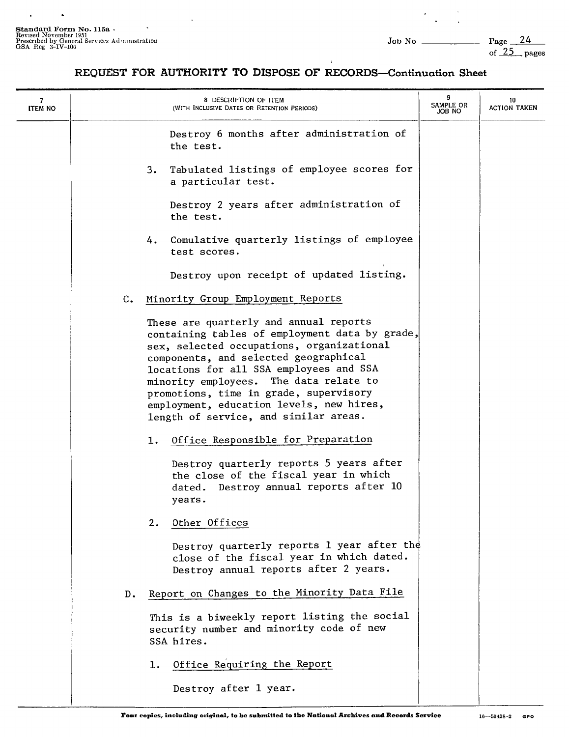$\ddot{\phantom{0}}$ 

 $\ddot{\phantom{0}}$ 

Page  $\frac{24}{\text{of } 25 \text{ pages}}$ 

| $\mathbf{7}$<br><b>ITEM NO</b> |    | 8 DESCRIPTION OF ITEM<br>(WITH INCLUSIVE DATES OR RETENTION PERIODS)                                                                                                                                                                                                                                                                                                                               | 9<br>SAMPLE OR<br>JOB NO | 10<br><b>ACTION TAKEN</b> |
|--------------------------------|----|----------------------------------------------------------------------------------------------------------------------------------------------------------------------------------------------------------------------------------------------------------------------------------------------------------------------------------------------------------------------------------------------------|--------------------------|---------------------------|
|                                |    | Destroy 6 months after administration of<br>the test.                                                                                                                                                                                                                                                                                                                                              |                          |                           |
|                                |    | Tabulated listings of employee scores for<br>3.<br>a particular test.                                                                                                                                                                                                                                                                                                                              |                          |                           |
|                                |    | Destroy 2 years after administration of<br>the test.                                                                                                                                                                                                                                                                                                                                               |                          |                           |
|                                |    | Comulative quarterly listings of employee<br>4.<br>test scores.                                                                                                                                                                                                                                                                                                                                    |                          |                           |
|                                |    | Destroy upon receipt of updated listing.                                                                                                                                                                                                                                                                                                                                                           |                          |                           |
|                                | c. | Minority Group Employment Reports                                                                                                                                                                                                                                                                                                                                                                  |                          |                           |
|                                |    | These are quarterly and annual reports<br>containing tables of employment data by grade,<br>sex, selected occupations, organizational<br>components, and selected geographical<br>locations for all SSA employees and SSA<br>minority employees. The data relate to<br>promotions, time in grade, supervisory<br>employment, education levels, new hires,<br>length of service, and similar areas. |                          |                           |
|                                |    | Office Responsible for Preparation<br>1.                                                                                                                                                                                                                                                                                                                                                           |                          |                           |
|                                |    | Destroy quarterly reports 5 years after<br>the close of the fiscal year in which<br>dated. Destroy annual reports after 10<br>years.                                                                                                                                                                                                                                                               |                          |                           |
|                                |    | Other Offices                                                                                                                                                                                                                                                                                                                                                                                      |                          |                           |
|                                |    | Destroy quarterly reports 1 year after the<br>close of the fiscal year in which dated.<br>Destroy annual reports after 2 years.                                                                                                                                                                                                                                                                    |                          |                           |
|                                | D. | Report on Changes to the Minority Data File                                                                                                                                                                                                                                                                                                                                                        |                          |                           |
|                                |    | This is a biweekly report listing the social<br>security number and minority code of new<br>SSA hires.                                                                                                                                                                                                                                                                                             |                          |                           |
|                                |    | Office Requiring the Report<br>ı.                                                                                                                                                                                                                                                                                                                                                                  |                          |                           |
|                                |    | Destroy after 1 year.                                                                                                                                                                                                                                                                                                                                                                              |                          |                           |